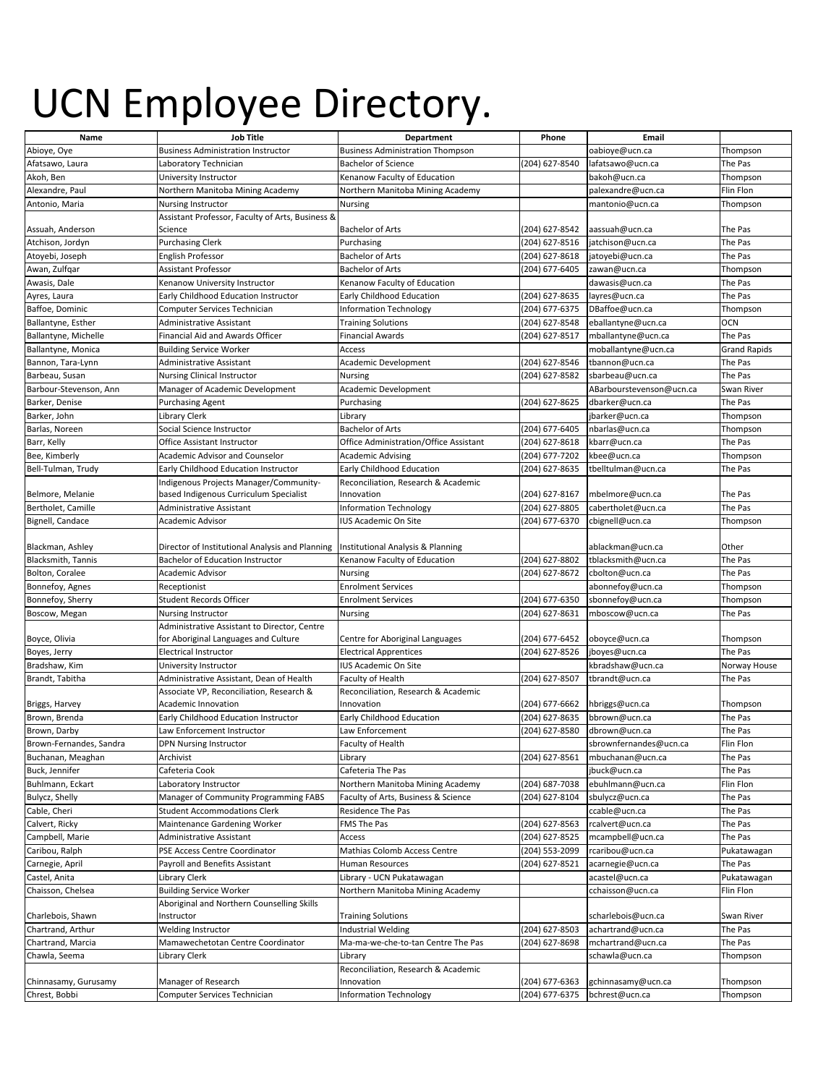## UCN Employee Directory.

| Name                    | <b>Job Title</b>                                 | Department                                   | Phone          | Email                    |                     |
|-------------------------|--------------------------------------------------|----------------------------------------------|----------------|--------------------------|---------------------|
| Abioye, Oye             | <b>Business Administration Instructor</b>        | <b>Business Administration Thompson</b>      |                | oabioye@ucn.ca           | Thompson            |
| Afatsawo, Laura         | Laboratory Technician                            | <b>Bachelor of Science</b>                   | (204) 627-8540 | lafatsawo@ucn.ca         | The Pas             |
| Akoh, Ben               | University Instructor                            | Kenanow Faculty of Education                 |                | bakoh@ucn.ca             | Thompson            |
| Alexandre, Paul         | Northern Manitoba Mining Academy                 | Northern Manitoba Mining Academy             |                | palexandre@ucn.ca        | Flin Flon           |
| Antonio, Maria          | <b>Nursing Instructor</b>                        | Nursing                                      |                | mantonio@ucn.ca          | Thompson            |
|                         | Assistant Professor, Faculty of Arts, Business & |                                              |                |                          |                     |
| Assuah, Anderson        | Science                                          | <b>Bachelor of Arts</b>                      | (204) 627-8542 | aassuah@ucn.ca           | The Pas             |
| Atchison, Jordyn        | <b>Purchasing Clerk</b>                          | Purchasing                                   | (204) 627-8516 | jatchison@ucn.ca         | The Pas             |
| Atoyebi, Joseph         | <b>English Professor</b>                         | <b>Bachelor of Arts</b>                      | (204) 627-8618 | jatoyebi@ucn.ca          | The Pas             |
| Awan, Zulfqar           | <b>Assistant Professor</b>                       | <b>Bachelor of Arts</b>                      | (204) 677-6405 | zawan@ucn.ca             | Thompson            |
| Awasis, Dale            | Kenanow University Instructor                    | Kenanow Faculty of Education                 |                | dawasis@ucn.ca           | The Pas             |
| Ayres, Laura            | Early Childhood Education Instructor             | Early Childhood Education                    | (204) 627-8635 | layres@ucn.ca            | The Pas             |
| Baffoe, Dominic         | Computer Services Technician                     | Information Technology                       | (204) 677-6375 | DBaffoe@ucn.ca           | Thompson            |
| Ballantyne, Esther      | Administrative Assistant                         | <b>Training Solutions</b>                    | (204) 627-8548 | eballantyne@ucn.ca       | <b>OCN</b>          |
| Ballantyne, Michelle    | Financial Aid and Awards Officer                 | <b>Financial Awards</b>                      | (204) 627-8517 | mballantyne@ucn.ca       | The Pas             |
| Ballantyne, Monica      | <b>Building Service Worker</b>                   | Access                                       |                | moballantyne@ucn.ca      | <b>Grand Rapids</b> |
| Bannon, Tara-Lynn       | <b>Administrative Assistant</b>                  | Academic Development                         | (204) 627-8546 | tbannon@ucn.ca           | The Pas             |
| Barbeau, Susan          | <b>Nursing Clinical Instructor</b>               | Nursing                                      | (204) 627-8582 | sbarbeau@ucn.ca          | The Pas             |
| Barbour-Stevenson, Ann  | Manager of Academic Development                  | Academic Development                         |                | ABarbourstevenson@ucn.ca | Swan River          |
| Barker, Denise          | <b>Purchasing Agent</b>                          | Purchasing                                   | (204) 627-8625 | dbarker@ucn.ca           | The Pas             |
| Barker, John            | Library Clerk                                    | Library                                      |                | jbarker@ucn.ca           | Thompson            |
| Barlas, Noreen          | Social Science Instructor                        | <b>Bachelor of Arts</b>                      | (204) 677-6405 | nbarlas@ucn.ca           | Thompson            |
| Barr, Kelly             | Office Assistant Instructor                      | Office Administration/Office Assistant       | (204) 627-8618 | kbarr@ucn.ca             | The Pas             |
| Bee, Kimberly           | Academic Advisor and Counselor                   | <b>Academic Advising</b>                     | (204) 677-7202 | kbee@ucn.ca              | Thompson            |
| Bell-Tulman, Trudy      | Early Childhood Education Instructor             | Early Childhood Education                    | (204) 627-8635 | tbelltulman@ucn.ca       | The Pas             |
|                         | Indigenous Projects Manager/Community-           | Reconciliation, Research & Academic          |                |                          |                     |
| Belmore, Melanie        | based Indigenous Curriculum Specialist           | Innovation                                   | (204) 627-8167 | mbelmore@ucn.ca          | The Pas             |
| Bertholet, Camille      | <b>Administrative Assistant</b>                  | <b>Information Technology</b>                | (204) 627-8805 | cabertholet@ucn.ca       | The Pas             |
| Bignell, Candace        | Academic Advisor                                 | <b>IUS Academic On Site</b>                  | (204) 677-6370 | cbignell@ucn.ca          | Thompson            |
|                         |                                                  |                                              |                |                          |                     |
| Blackman, Ashley        | Director of Institutional Analysis and Planning  | <b>Institutional Analysis &amp; Planning</b> |                | ablackman@ucn.ca         | Other               |
| Blacksmith, Tannis      | <b>Bachelor of Education Instructor</b>          | Kenanow Faculty of Education                 | (204) 627-8802 | tblacksmith@ucn.ca       | The Pas             |
| Bolton, Coralee         | Academic Advisor                                 | Nursing                                      | (204) 627-8672 | cbolton@ucn.ca           | The Pas             |
| Bonnefoy, Agnes         | Receptionist                                     | <b>Enrolment Services</b>                    |                | abonnefoy@ucn.ca         | Thompson            |
| Bonnefoy, Sherry        | Student Records Officer                          | <b>Enrolment Services</b>                    | (204) 677-6350 | sbonnefoy@ucn.ca         | Thompson            |
| Boscow, Megan           | Nursing Instructor                               | Nursing                                      | (204) 627-8631 | mboscow@ucn.ca           | The Pas             |
|                         | Administrative Assistant to Director, Centre     |                                              |                |                          |                     |
| Boyce, Olivia           | for Aboriginal Languages and Culture             | Centre for Aboriginal Languages              | (204) 677-6452 | oboyce@ucn.ca            | Thompson            |
| Boyes, Jerry            | <b>Electrical Instructor</b>                     | <b>Electrical Apprentices</b>                | (204) 627-8526 | jboyes@ucn.ca            | The Pas             |
| Bradshaw, Kim           | University Instructor                            | IUS Academic On Site                         |                | kbradshaw@ucn.ca         | Norway House        |
| Brandt, Tabitha         | Administrative Assistant, Dean of Health         | Faculty of Health                            | (204) 627-8507 | tbrandt@ucn.ca           | The Pas             |
|                         | Associate VP, Reconciliation, Research &         | Reconciliation, Research & Academic          |                |                          |                     |
| Briggs, Harvey          | Academic Innovation                              | Innovation                                   | (204) 677-6662 | hbriggs@ucn.ca           | Thompson            |
| Brown, Brenda           | Early Childhood Education Instructor             | Early Childhood Education                    | (204) 627-8635 | bbrown@ucn.ca            | The Pas             |
| Brown, Darby            | Law Enforcement Instructor                       | Law Enforcement                              | (204) 627-8580 | dbrown@ucn.ca            | The Pas             |
| Brown-Fernandes, Sandra | DPN Nursing Instructor                           | Faculty of Health                            |                | sbrownfernandes@ucn.ca   | Flin Flon           |
| Buchanan, Meaghan       | Archivist                                        | Library                                      | (204) 627-8561 | mbuchanan@ucn.ca         | The Pas             |
| Buck, Jennifer          | Cafeteria Cook                                   | Cafeteria The Pas                            |                | jbuck@ucn.ca             | The Pas             |
| Buhlmann, Eckart        | Laboratory Instructor                            | Northern Manitoba Mining Academy             | (204) 687-7038 | ebuhlmann@ucn.ca         | Flin Flon           |
| Bulycz, Shelly          | Manager of Community Programming FABS            | Faculty of Arts, Business & Science          | (204) 627-8104 | sbulycz@ucn.ca           | The Pas             |
| Cable, Cheri            | <b>Student Accommodations Clerk</b>              | Residence The Pas                            |                | ccable@ucn.ca            | The Pas             |
| Calvert, Ricky          | Maintenance Gardening Worker                     | FMS The Pas                                  | (204) 627-8563 | rcalvert@ucn.ca          | The Pas             |
| Campbell, Marie         | Administrative Assistant                         | Access                                       | (204) 627-8525 | mcampbell@ucn.ca         | The Pas             |
| Caribou, Ralph          | PSE Access Centre Coordinator                    | Mathias Colomb Access Centre                 | (204) 553-2099 | rcaribou@ucn.ca          | Pukatawagan         |
| Carnegie, April         | Payroll and Benefits Assistant                   | Human Resources                              | (204) 627-8521 | acarnegie@ucn.ca         | The Pas             |
| Castel, Anita           | Library Clerk                                    | Library - UCN Pukatawagan                    |                | acastel@ucn.ca           | Pukatawagan         |
| Chaisson, Chelsea       | <b>Building Service Worker</b>                   | Northern Manitoba Mining Academy             |                | cchaisson@ucn.ca         | Flin Flon           |
|                         | Aboriginal and Northern Counselling Skills       |                                              |                |                          |                     |
| Charlebois, Shawn       | Instructor                                       | <b>Training Solutions</b>                    |                | scharlebois@ucn.ca       | Swan River          |
| Chartrand, Arthur       | Welding Instructor                               | Industrial Welding                           | (204) 627-8503 | achartrand@ucn.ca        | The Pas             |
| Chartrand, Marcia       | Mamawechetotan Centre Coordinator                | Ma-ma-we-che-to-tan Centre The Pas           | (204) 627-8698 | mchartrand@ucn.ca        | The Pas             |
| Chawla, Seema           | Library Clerk                                    | Library                                      |                | schawla@ucn.ca           | Thompson            |
|                         |                                                  | Reconciliation, Research & Academic          |                |                          |                     |
| Chinnasamy, Gurusamy    | Manager of Research                              | Innovation                                   | (204) 677-6363 | gchinnasamy@ucn.ca       | Thompson            |
| Chrest, Bobbi           | Computer Services Technician                     | <b>Information Technology</b>                | (204) 677-6375 | bchrest@ucn.ca           | Thompson            |
|                         |                                                  |                                              |                |                          |                     |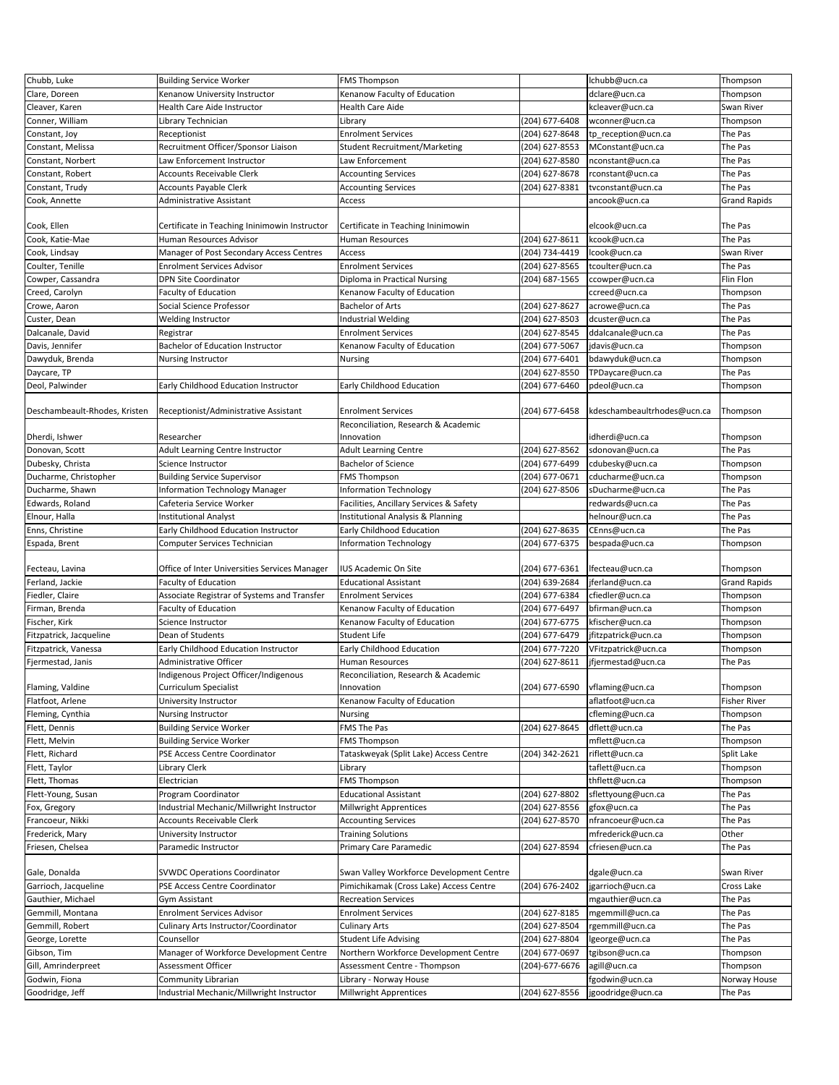| Chubb, Luke                   | <b>Building Service Worker</b>                | <b>FMS Thompson</b>                      |                | lchubb@ucn.ca                  | Thompson            |
|-------------------------------|-----------------------------------------------|------------------------------------------|----------------|--------------------------------|---------------------|
| Clare, Doreen                 | Kenanow University Instructor                 | Kenanow Faculty of Education             |                | dclare@ucn.ca                  | Thompson            |
| Cleaver, Karen                | Health Care Aide Instructor                   | <b>Health Care Aide</b>                  |                | kcleaver@ucn.ca                | Swan River          |
| Conner, William               | Library Technician                            | Library                                  | (204) 677-6408 | wconner@ucn.ca                 | Thompson            |
|                               |                                               |                                          |                |                                |                     |
| Constant, Joy                 | Receptionist                                  | <b>Enrolment Services</b>                | (204) 627-8648 | tp_reception@ucn.ca            | The Pas             |
| Constant, Melissa             | Recruitment Officer/Sponsor Liaison           | <b>Student Recruitment/Marketing</b>     | (204) 627-8553 | MConstant@ucn.ca               | The Pas             |
| Constant, Norbert             | Law Enforcement Instructor                    | Law Enforcement                          | (204) 627-8580 | nconstant@ucn.ca               | The Pas             |
| Constant, Robert              | <b>Accounts Receivable Clerk</b>              | <b>Accounting Services</b>               | (204) 627-8678 | rconstant@ucn.ca               | The Pas             |
| Constant, Trudy               | <b>Accounts Payable Clerk</b>                 | <b>Accounting Services</b>               | (204) 627-8381 | tvconstant@ucn.ca              | The Pas             |
| Cook, Annette                 | Administrative Assistant                      | Access                                   |                | ancook@ucn.ca                  | <b>Grand Rapids</b> |
|                               |                                               |                                          |                |                                |                     |
| Cook, Ellen                   | Certificate in Teaching Ininimowin Instructor | Certificate in Teaching Ininimowin       |                | elcook@ucn.ca                  | The Pas             |
| Cook, Katie-Mae               | Human Resources Advisor                       | <b>Human Resources</b>                   | (204) 627-8611 | kcook@ucn.ca                   | The Pas             |
| Cook, Lindsay                 | Manager of Post Secondary Access Centres      | Access                                   | (204) 734-4419 | lcook@ucn.ca                   | Swan River          |
| Coulter, Tenille              | <b>Enrolment Services Advisor</b>             | <b>Enrolment Services</b>                | (204) 627-8565 | tcoulter@ucn.ca                | The Pas             |
| Cowper, Cassandra             | DPN Site Coordinator                          | Diploma in Practical Nursing             | (204) 687-1565 | ccowper@ucn.ca                 | Flin Flon           |
|                               |                                               |                                          |                |                                |                     |
| Creed, Carolyn                | <b>Faculty of Education</b>                   | Kenanow Faculty of Education             |                | ccreed@ucn.ca                  | Thompson            |
| Crowe, Aaron                  | Social Science Professor                      | <b>Bachelor of Arts</b>                  | (204) 627-8627 | acrowe@ucn.ca                  | The Pas             |
| Custer, Dean                  | <b>Welding Instructor</b>                     | Industrial Welding                       | (204) 627-8503 | dcuster@ucn.ca                 | The Pas             |
| Dalcanale, David              | Registrar                                     | <b>Enrolment Services</b>                | (204) 627-8545 | ddalcanale@ucn.ca              | The Pas             |
| Davis, Jennifer               | Bachelor of Education Instructor              | Kenanow Faculty of Education             | (204) 677-5067 | jdavis@ucn.ca                  | Thompson            |
| Dawyduk, Brenda               | <b>Nursing Instructor</b>                     | Nursing                                  | (204) 677-6401 | bdawyduk@ucn.ca                | Thompson            |
| Daycare, TP                   |                                               |                                          | (204) 627-8550 | TPDaycare@ucn.ca               | The Pas             |
| Deol, Palwinder               | Early Childhood Education Instructor          | Early Childhood Education                | (204) 677-6460 | pdeol@ucn.ca                   | Thompson            |
|                               |                                               |                                          |                |                                |                     |
| Deschambeault-Rhodes, Kristen | Receptionist/Administrative Assistant         | <b>Enrolment Services</b>                | (204) 677-6458 | kdeschambeaultrhodes@ucn.ca    | Thompson            |
|                               |                                               |                                          |                |                                |                     |
|                               |                                               | Reconciliation, Research & Academic      |                |                                |                     |
| Dherdi, Ishwer                | Researcher                                    | Innovation                               |                | idherdi@ucn.ca                 | Thompson            |
| Donovan, Scott                | Adult Learning Centre Instructor              | <b>Adult Learning Centre</b>             | (204) 627-8562 | sdonovan@ucn.ca                | The Pas             |
| Dubesky, Christa              | Science Instructor                            | Bachelor of Science                      | (204) 677-6499 | cdubesky@ucn.ca                | Thompson            |
| Ducharme, Christopher         | <b>Building Service Supervisor</b>            | <b>FMS Thompson</b>                      | (204) 677-0671 | cducharme@ucn.ca               | Thompson            |
| Ducharme, Shawn               | Information Technology Manager                | Information Technology                   | (204) 627-8506 | sDucharme@ucn.ca               | The Pas             |
| Edwards, Roland               | Cafeteria Service Worker                      | Facilities, Ancillary Services & Safety  |                | redwards@ucn.ca                | The Pas             |
| Elnour, Halla                 | Institutional Analyst                         | Institutional Analysis & Planning        |                | helnour@ucn.ca                 | The Pas             |
| Enns, Christine               | Early Childhood Education Instructor          | Early Childhood Education                | (204) 627-8635 | CEnns@ucn.ca                   | The Pas             |
| Espada, Brent                 | Computer Services Technician                  | Information Technology                   | (204) 677-6375 | bespada@ucn.ca                 | Thompson            |
|                               |                                               |                                          |                |                                |                     |
| Fecteau, Lavina               | Office of Inter Universities Services Manager | IUS Academic On Site                     | (204) 677-6361 | Ifecteau@ucn.ca                | Thompson            |
|                               |                                               | <b>Educational Assistant</b>             |                |                                |                     |
| Ferland, Jackie               | Faculty of Education                          |                                          | (204) 639-2684 | jferland@ucn.ca                | <b>Grand Rapids</b> |
| Fiedler, Claire               | Associate Registrar of Systems and Transfer   | <b>Enrolment Services</b>                | (204) 677-6384 | cfiedler@ucn.ca                | Thompson            |
| Firman, Brenda                | Faculty of Education                          | Kenanow Faculty of Education             | (204) 677-6497 | bfirman@ucn.ca                 | Thompson            |
| Fischer, Kirk                 | Science Instructor                            | Kenanow Faculty of Education             | (204) 677-6775 | kfischer@ucn.ca                | Thompson            |
| Fitzpatrick, Jacqueline       | Dean of Students                              | Student Life                             | (204) 677-6479 | jfitzpatrick@ucn.ca            | Thompson            |
| Fitzpatrick, Vanessa          | Early Childhood Education Instructor          | Early Childhood Education                | (204) 677-7220 | VFitzpatrick@ucn.ca            | Thompson            |
| Fjermestad, Janis             | Administrative Officer                        | Human Resources                          | (204) 627-8611 | jfjermestad@ucn.ca             | The Pas             |
|                               | Indigenous Project Officer/Indigenous         | Reconciliation, Research & Academic      |                |                                |                     |
| Flaming, Valdine              | Curriculum Specialist                         | Innovation                               |                | (204) 677-6590 vflaming@ucn.ca | Thompson            |
| Flatfoot, Arlene              | University Instructor                         | Kenanow Faculty of Education             |                | aflatfoot@ucn.ca               | <b>Fisher River</b> |
| Fleming, Cynthia              | Nursing Instructor                            | Nursing                                  |                | cfleming@ucn.ca                | Thompson            |
| Flett, Dennis                 | <b>Building Service Worker</b>                | FMS The Pas                              | (204) 627-8645 | dflett@ucn.ca                  | The Pas             |
|                               |                                               |                                          |                |                                |                     |
| Flett, Melvin                 | <b>Building Service Worker</b>                | <b>FMS Thompson</b>                      |                | mflett@ucn.ca                  | Thompson            |
| Flett, Richard                | PSE Access Centre Coordinator                 | Tataskweyak (Split Lake) Access Centre   | (204) 342-2621 | riflett@ucn.ca                 | Split Lake          |
| Flett, Taylor                 | Library Clerk                                 | Library                                  |                | taflett@ucn.ca                 | Thompson            |
| Flett, Thomas                 | Electrician                                   | <b>FMS Thompson</b>                      |                | thflett@ucn.ca                 | Thompson            |
| Flett-Young, Susan            | Program Coordinator                           | <b>Educational Assistant</b>             | (204) 627-8802 | sflettyoung@ucn.ca             | The Pas             |
| Fox, Gregory                  | Industrial Mechanic/Millwright Instructor     | Millwright Apprentices                   | (204) 627-8556 | gfox@ucn.ca                    | The Pas             |
| Francoeur, Nikki              | <b>Accounts Receivable Clerk</b>              | <b>Accounting Services</b>               | (204) 627-8570 | nfrancoeur@ucn.ca              | The Pas             |
| Frederick, Mary               | University Instructor                         | <b>Training Solutions</b>                |                | mfrederick@ucn.ca              | Other               |
| Friesen, Chelsea              | Paramedic Instructor                          | Primary Care Paramedic                   | (204) 627-8594 | cfriesen@ucn.ca                | The Pas             |
|                               |                                               |                                          |                |                                |                     |
| Gale, Donalda                 | <b>SVWDC Operations Coordinator</b>           | Swan Valley Workforce Development Centre |                | dgale@ucn.ca                   | Swan River          |
|                               |                                               |                                          |                |                                |                     |
| Garrioch, Jacqueline          | PSE Access Centre Coordinator                 | Pimichikamak (Cross Lake) Access Centre  | (204) 676-2402 | jgarrioch@ucn.ca               | Cross Lake          |
| Gauthier, Michael             | Gym Assistant                                 | <b>Recreation Services</b>               |                | mgauthier@ucn.ca               | The Pas             |
| Gemmill, Montana              | <b>Enrolment Services Advisor</b>             | <b>Enrolment Services</b>                | (204) 627-8185 | mgemmill@ucn.ca                | The Pas             |
| Gemmill, Robert               | Culinary Arts Instructor/Coordinator          | <b>Culinary Arts</b>                     | (204) 627-8504 | rgemmill@ucn.ca                | The Pas             |
| George, Lorette               | Counsellor                                    | <b>Student Life Advising</b>             | (204) 627-8804 | george@ucn.ca                  | The Pas             |
| Gibson, Tim                   | Manager of Workforce Development Centre       | Northern Workforce Development Centre    | (204) 677-0697 | tgibson@ucn.ca                 | Thompson            |
| Gill, Amrinderpreet           | Assessment Officer                            | Assessment Centre - Thompson             | (204)-677-6676 | agill@ucn.ca                   | Thompson            |
| Godwin, Fiona                 | Community Librarian                           | Library - Norway House                   |                | fgodwin@ucn.ca                 | Norway House        |
| Goodridge, Jeff               | Industrial Mechanic/Millwright Instructor     | Millwright Apprentices                   | (204) 627-8556 | jgoodridge@ucn.ca              | The Pas             |
|                               |                                               |                                          |                |                                |                     |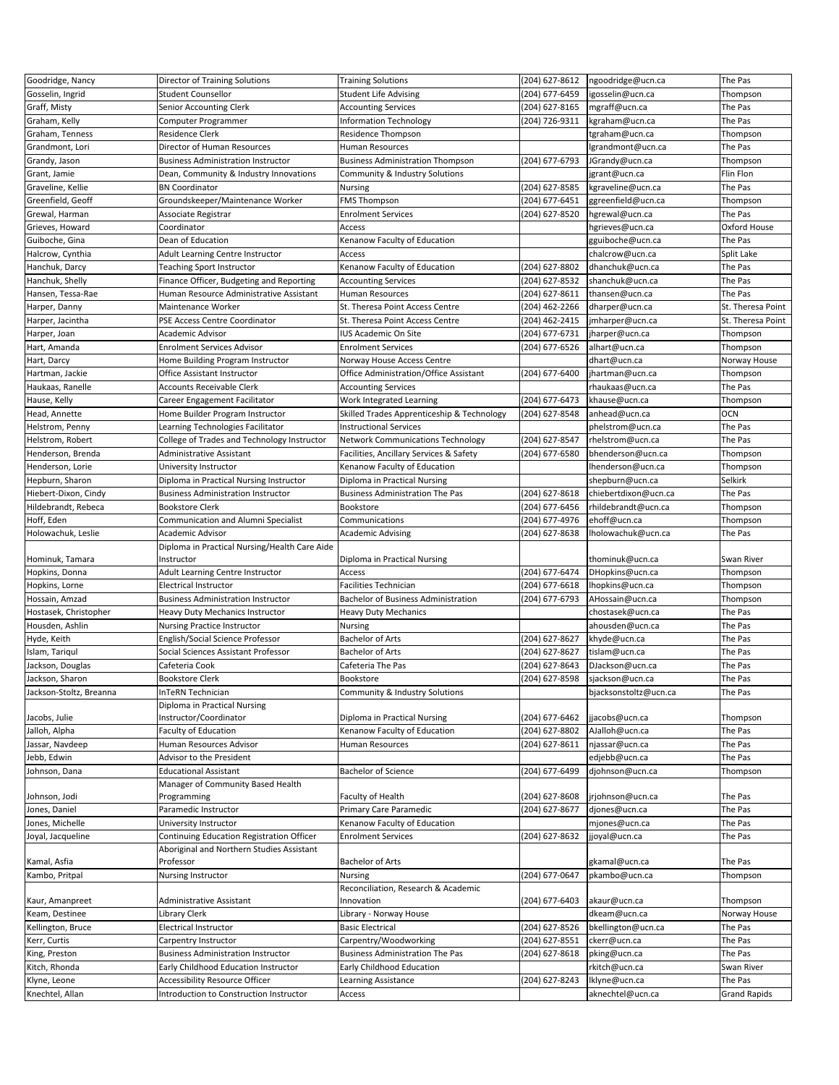| Gosselin, Ingrid<br><b>Student Counsellor</b><br><b>Student Life Advising</b><br>(204) 677-6459<br>igosselin@ucn.ca<br>Thompson<br>Graff, Misty<br>(204) 627-8165<br>Senior Accounting Clerk<br><b>Accounting Services</b><br>mgraff@ucn.ca<br>The Pas<br>The Pas<br>Graham, Kelly<br>Computer Programmer<br><b>Information Technology</b><br>(204) 726-9311<br>kgraham@ucn.ca<br>Residence Clerk<br>Graham, Tenness<br>Residence Thompson<br>tgraham@ucn.ca<br>Thompson<br>Director of Human Resources<br>Grandmont, Lori<br>Human Resources<br>lgrandmont@ucn.ca<br>The Pas<br>(204) 677-6793<br>Grandy, Jason<br><b>Business Administration Instructor</b><br><b>Business Administration Thompson</b><br>JGrandy@ucn.ca<br>Thompson<br>Flin Flon<br>Grant, Jamie<br>Dean, Community & Industry Innovations<br>Community & Industry Solutions<br>jgrant@ucn.ca<br>Graveline, Kellie<br>(204) 627-8585<br>The Pas<br><b>BN Coordinator</b><br>Nursing<br>kgraveline@ucn.ca<br>Greenfield, Geoff<br>Groundskeeper/Maintenance Worker<br><b>FMS Thompson</b><br>(204) 677-6451<br>ggreenfield@ucn.ca<br>Thompson<br>(204) 627-8520<br>The Pas<br>Grewal, Harman<br><b>Enrolment Services</b><br>hgrewal@ucn.ca<br>Associate Registrar<br>Grieves, Howard<br>Access<br>Oxford House<br>Coordinator<br>hgrieves@ucn.ca<br>Guiboche, Gina<br>Dean of Education<br>Kenanow Faculty of Education<br>The Pas<br>gguiboche@ucn.ca<br>Split Lake<br>Halcrow, Cynthia<br>Adult Learning Centre Instructor<br>Access<br>chalcrow@ucn.ca<br>Hanchuk, Darcy<br>(204) 627-8802<br>dhanchuk@ucn.ca<br>The Pas<br>Teaching Sport Instructor<br>Kenanow Faculty of Education<br>Hanchuk, Shelly<br>Finance Officer, Budgeting and Reporting<br>(204) 627-8532<br>The Pas<br><b>Accounting Services</b><br>shanchuk@ucn.ca<br>Human Resource Administrative Assistant<br>(204) 627-8611<br>The Pas<br>Hansen, Tessa-Rae<br>Human Resources<br>thansen@ucn.ca<br>Maintenance Worker<br>(204) 462-2266<br>St. Theresa Point<br>Harper, Danny<br>St. Theresa Point Access Centre<br>dharper@ucn.ca<br>(204) 462-2415<br>Harper, Jacintha<br>PSE Access Centre Coordinator<br>St. Theresa Point Access Centre<br>jmharper@ucn.ca<br>St. Theresa Point<br>(204) 677-6731<br>Harper, Joan<br>Academic Advisor<br>IUS Academic On Site<br>jharper@ucn.ca<br>Thompson<br>Hart, Amanda<br>(204) 677-6526<br><b>Enrolment Services Advisor</b><br><b>Enrolment Services</b><br>alhart@ucn.ca<br>Thompson<br>Hart, Darcy<br>Home Building Program Instructor<br>Norway House Access Centre<br>dhart@ucn.ca<br>Norway House<br>Office Administration/Office Assistant<br>(204) 677-6400<br>Hartman, Jackie<br>Office Assistant Instructor<br>jhartman@ucn.ca<br>Thompson<br>The Pas<br>Haukaas, Ranelle<br><b>Accounts Receivable Clerk</b><br><b>Accounting Services</b><br>rhaukaas@ucn.ca<br>(204) 677-6473<br>Hause, Kelly<br>Career Engagement Facilitator<br>Work Integrated Learning<br>khause@ucn.ca<br>Thompson<br>Head, Annette<br>Home Builder Program Instructor<br>Skilled Trades Apprenticeship & Technology<br>(204) 627-8548<br><b>OCN</b><br>anhead@ucn.ca<br>The Pas<br>Helstrom, Penny<br>Learning Technologies Facilitator<br><b>Instructional Services</b><br>phelstrom@ucn.ca<br>(204) 627-8547<br>Helstrom, Robert<br>The Pas<br>College of Trades and Technology Instructor<br><b>Network Communications Technology</b><br>rhelstrom@ucn.ca<br>(204) 677-6580<br>Henderson, Brenda<br>Administrative Assistant<br>Facilities, Ancillary Services & Safety<br>bhenderson@ucn.ca<br>Thompson<br>Henderson, Lorie<br>Kenanow Faculty of Education<br>Ihenderson@ucn.ca<br>University Instructor<br>Thompson<br>Selkirk<br>Hepburn, Sharon<br>Diploma in Practical Nursing Instructor<br>Diploma in Practical Nursing<br>shepburn@ucn.ca<br>(204) 627-8618<br>Hiebert-Dixon, Cindy<br><b>Business Administration Instructor</b><br><b>Business Administration The Pas</b><br>chiebertdixon@ucn.ca<br>The Pas<br>(204) 677-6456<br><b>Bookstore Clerk</b><br>Bookstore<br>Hildebrandt, Rebeca<br>rhildebrandt@ucn.ca<br>Thompson<br>Hoff, Eden<br>Communication and Alumni Specialist<br>(204) 677-4976<br>ehoff@ucn.ca<br>Communications<br>Thompson<br>(204) 627-8638<br>Holowachuk, Leslie<br>Academic Advisor<br><b>Academic Advising</b><br>Iholowachuk@ucn.ca<br>The Pas<br>Diploma in Practical Nursing/Health Care Aide<br>Hominuk, Tamara<br>thominuk@ucn.ca<br>Swan River<br>Instructor<br>Diploma in Practical Nursing<br>(204) 677-6474<br>Hopkins, Donna<br>Adult Learning Centre Instructor<br>Access<br>DHopkins@ucn.ca<br>Thompson<br>Hopkins, Lorne<br><b>Facilities Technician</b><br>(204) 677-6618<br>Ihopkins@ucn.ca<br><b>Electrical Instructor</b><br>Thompson<br>(204) 677-6793<br>Hossain, Amzad<br><b>Business Administration Instructor</b><br><b>Bachelor of Business Administration</b><br>AHossain@ucn.ca<br>Thompson<br>The Pas<br>Hostasek, Christopher<br>Heavy Duty Mechanics Instructor<br><b>Heavy Duty Mechanics</b><br>chostasek@ucn.ca<br>Housden, Ashlin<br><b>Nursing Practice Instructor</b><br>ahousden@ucn.ca<br>The Pas<br>Nursing<br>English/Social Science Professor<br><b>Bachelor of Arts</b><br>(204) 627-8627<br>The Pas<br>Hyde, Keith<br>khyde@ucn.ca<br>Islam, Tariqul<br>Social Sciences Assistant Professor<br><b>Bachelor of Arts</b><br>(204) 627-8627<br>The Pas<br>tislam@ucn.ca<br>(204) 627-8643<br>Jackson, Douglas<br>Cafeteria Cook<br>Cafeteria The Pas<br>DJackson@ucn.ca<br>The Pas<br>(204) 627-8598<br>Jackson, Sharon<br><b>Bookstore Clerk</b><br>The Pas<br>Bookstore<br>sjackson@ucn.ca<br>Jackson-Stoltz, Breanna<br>InTeRN Technician<br>Community & Industry Solutions<br>bjacksonstoltz@ucn.ca<br>The Pas<br>Diploma in Practical Nursing<br>Jacobs, Julie<br>Instructor/Coordinator<br>Diploma in Practical Nursing<br>(204) 677-6462<br>jjacobs@ucn.ca<br>Thompson<br>Jalloh, Alpha<br><b>Faculty of Education</b><br>Kenanow Faculty of Education<br>(204) 627-8802<br>AJalloh@ucn.ca<br>The Pas<br>Human Resources Advisor<br>Jassar, Navdeep<br>(204) 627-8611<br>njassar@ucn.ca<br>The Pas<br>Human Resources<br>Jebb, Edwin<br>Advisor to the President<br>edjebb@ucn.ca<br>The Pas<br>Johnson, Dana<br><b>Educational Assistant</b><br>Bachelor of Science<br>(204) 677-6499<br>djohnson@ucn.ca<br>Thompson<br>Manager of Community Based Health<br>(204) 627-8608<br>The Pas<br>Johnson, Jodi<br>Programming<br>Faculty of Health<br>jrjohnson@ucn.ca<br>Jones, Daniel<br>Paramedic Instructor<br>Primary Care Paramedic<br>(204) 627-8677<br>djones@ucn.ca<br>The Pas<br>University Instructor<br>Kenanow Faculty of Education<br>The Pas<br>Jones, Michelle<br>mjones@ucn.ca<br>Continuing Education Registration Officer<br>Joyal, Jacqueline<br><b>Enrolment Services</b><br>(204) 627-8632<br>The Pas<br>jjoyal@ucn.ca<br>Aboriginal and Northern Studies Assistant<br>Kamal, Asfia<br>Professor<br>The Pas<br>Bachelor of Arts<br>gkamal@ucn.ca<br>Kambo, Pritpal<br>Nursing<br>(204) 677-0647<br>pkambo@ucn.ca<br>Nursing Instructor<br>Thompson<br>Reconciliation, Research & Academic<br>Kaur, Amanpreet<br>Administrative Assistant<br>Innovation<br>(204) 677-6403<br>akaur@ucn.ca<br>Thompson<br>Keam, Destinee<br>Library Clerk<br>Library - Norway House<br>dkeam@ucn.ca<br>Norway House<br>(204) 627-8526<br>Kellington, Bruce<br><b>Electrical Instructor</b><br><b>Basic Electrical</b><br>bkellington@ucn.ca<br>The Pas<br>Kerr, Curtis<br>Carpentry Instructor<br>Carpentry/Woodworking<br>(204) 627-8551<br>ckerr@ucn.ca<br>The Pas<br>King, Preston<br><b>Business Administration The Pas</b><br>(204) 627-8618<br>The Pas<br><b>Business Administration Instructor</b><br>pking@ucn.ca<br>Kitch, Rhonda<br>Early Childhood Education Instructor<br>Early Childhood Education<br>rkitch@ucn.ca<br>Swan River<br>Klyne, Leone<br>Accessibility Resource Officer<br>Learning Assistance<br>(204) 627-8243<br>Iklyne@ucn.ca<br>The Pas<br>Knechtel, Allan<br>Introduction to Construction Instructor<br>aknechtel@ucn.ca<br><b>Grand Rapids</b><br>Access | Goodridge, Nancy | Director of Training Solutions | <b>Training Solutions</b> | (204) 627-8612 | ngoodridge@ucn.ca | The Pas |
|---------------------------------------------------------------------------------------------------------------------------------------------------------------------------------------------------------------------------------------------------------------------------------------------------------------------------------------------------------------------------------------------------------------------------------------------------------------------------------------------------------------------------------------------------------------------------------------------------------------------------------------------------------------------------------------------------------------------------------------------------------------------------------------------------------------------------------------------------------------------------------------------------------------------------------------------------------------------------------------------------------------------------------------------------------------------------------------------------------------------------------------------------------------------------------------------------------------------------------------------------------------------------------------------------------------------------------------------------------------------------------------------------------------------------------------------------------------------------------------------------------------------------------------------------------------------------------------------------------------------------------------------------------------------------------------------------------------------------------------------------------------------------------------------------------------------------------------------------------------------------------------------------------------------------------------------------------------------------------------------------------------------------------------------------------------------------------------------------------------------------------------------------------------------------------------------------------------------------------------------------------------------------------------------------------------------------------------------------------------------------------------------------------------------------------------------------------------------------------------------------------------------------------------------------------------------------------------------------------------------------------------------------------------------------------------------------------------------------------------------------------------------------------------------------------------------------------------------------------------------------------------------------------------------------------------------------------------------------------------------------------------------------------------------------------------------------------------------------------------------------------------------------------------------------------------------------------------------------------------------------------------------------------------------------------------------------------------------------------------------------------------------------------------------------------------------------------------------------------------------------------------------------------------------------------------------------------------------------------------------------------------------------------------------------------------------------------------------------------------------------------------------------------------------------------------------------------------------------------------------------------------------------------------------------------------------------------------------------------------------------------------------------------------------------------------------------------------------------------------------------------------------------------------------------------------------------------------------------------------------------------------------------------------------------------------------------------------------------------------------------------------------------------------------------------------------------------------------------------------------------------------------------------------------------------------------------------------------------------------------------------------------------------------------------------------------------------------------------------------------------------------------------------------------------------------------------------------------------------------------------------------------------------------------------------------------------------------------------------------------------------------------------------------------------------------------------------------------------------------------------------------------------------------------------------------------------------------------------------------------------------------------------------------------------------------------------------------------------------------------------------------------------------------------------------------------------------------------------------------------------------------------------------------------------------------------------------------------------------------------------------------------------------------------------------------------------------------------------------------------------------------------------------------------------------------------------------------------------------------------------------------------------------------------------------------------------------------------------------------------------------------------------------------------------------------------------------------------------------------------------------------------------------------------------------------------------------------------------------------------------------------------------------------------------------------------------------------------------------------------------------------------------------------------------------------------------------------------------------------------------------------------------------------------------------------------------------------------------------------------------------------------------------------------------------------------------------------------------------------------------------------------------------------------------------------------------------------------------------------------------------------------------------------------------------------------------------------------------------------------------------------------------------------------------------------------------------------------------------------------------------------------------------------------------------------------------------------------------------------------------------------------------------------------------------------------------------------------------------------------------------------------------------------------------------------------------------------------------------------------------------------------------------------------------------------------------------------------------------------------------------------------------------------------------------------------------------------------------------------------------------------------------------------------------------------------------------------------------------------------------------------------------------------------------------------------------------------------------------------------------------------------------------------------------------------------------------------------------------------------------------------------------------|------------------|--------------------------------|---------------------------|----------------|-------------------|---------|
|                                                                                                                                                                                                                                                                                                                                                                                                                                                                                                                                                                                                                                                                                                                                                                                                                                                                                                                                                                                                                                                                                                                                                                                                                                                                                                                                                                                                                                                                                                                                                                                                                                                                                                                                                                                                                                                                                                                                                                                                                                                                                                                                                                                                                                                                                                                                                                                                                                                                                                                                                                                                                                                                                                                                                                                                                                                                                                                                                                                                                                                                                                                                                                                                                                                                                                                                                                                                                                                                                                                                                                                                                                                                                                                                                                                                                                                                                                                                                                                                                                                                                                                                                                                                                                                                                                                                                                                                                                                                                                                                                                                                                                                                                                                                                                                                                                                                                                                                                                                                                                                                                                                                                                                                                                                                                                                                                                                                                                                                                                                                                                                                                                                                                                                                                                                                                                                                                                                                                                                                                                                                                                                                                                                                                                                                                                                                                                                                                                                                                                                                                                                                                                                                                                                                                                                                                                                                                                                                                                                                                                                                                                                                                                                                                                                                                                                                                                                                                                                                                                                                                                                                                                                                                                                                                                                                                                                                                                                                                                                                                                                                                                                                                         |                  |                                |                           |                |                   |         |
|                                                                                                                                                                                                                                                                                                                                                                                                                                                                                                                                                                                                                                                                                                                                                                                                                                                                                                                                                                                                                                                                                                                                                                                                                                                                                                                                                                                                                                                                                                                                                                                                                                                                                                                                                                                                                                                                                                                                                                                                                                                                                                                                                                                                                                                                                                                                                                                                                                                                                                                                                                                                                                                                                                                                                                                                                                                                                                                                                                                                                                                                                                                                                                                                                                                                                                                                                                                                                                                                                                                                                                                                                                                                                                                                                                                                                                                                                                                                                                                                                                                                                                                                                                                                                                                                                                                                                                                                                                                                                                                                                                                                                                                                                                                                                                                                                                                                                                                                                                                                                                                                                                                                                                                                                                                                                                                                                                                                                                                                                                                                                                                                                                                                                                                                                                                                                                                                                                                                                                                                                                                                                                                                                                                                                                                                                                                                                                                                                                                                                                                                                                                                                                                                                                                                                                                                                                                                                                                                                                                                                                                                                                                                                                                                                                                                                                                                                                                                                                                                                                                                                                                                                                                                                                                                                                                                                                                                                                                                                                                                                                                                                                                                                         |                  |                                |                           |                |                   |         |
|                                                                                                                                                                                                                                                                                                                                                                                                                                                                                                                                                                                                                                                                                                                                                                                                                                                                                                                                                                                                                                                                                                                                                                                                                                                                                                                                                                                                                                                                                                                                                                                                                                                                                                                                                                                                                                                                                                                                                                                                                                                                                                                                                                                                                                                                                                                                                                                                                                                                                                                                                                                                                                                                                                                                                                                                                                                                                                                                                                                                                                                                                                                                                                                                                                                                                                                                                                                                                                                                                                                                                                                                                                                                                                                                                                                                                                                                                                                                                                                                                                                                                                                                                                                                                                                                                                                                                                                                                                                                                                                                                                                                                                                                                                                                                                                                                                                                                                                                                                                                                                                                                                                                                                                                                                                                                                                                                                                                                                                                                                                                                                                                                                                                                                                                                                                                                                                                                                                                                                                                                                                                                                                                                                                                                                                                                                                                                                                                                                                                                                                                                                                                                                                                                                                                                                                                                                                                                                                                                                                                                                                                                                                                                                                                                                                                                                                                                                                                                                                                                                                                                                                                                                                                                                                                                                                                                                                                                                                                                                                                                                                                                                                                                         |                  |                                |                           |                |                   |         |
|                                                                                                                                                                                                                                                                                                                                                                                                                                                                                                                                                                                                                                                                                                                                                                                                                                                                                                                                                                                                                                                                                                                                                                                                                                                                                                                                                                                                                                                                                                                                                                                                                                                                                                                                                                                                                                                                                                                                                                                                                                                                                                                                                                                                                                                                                                                                                                                                                                                                                                                                                                                                                                                                                                                                                                                                                                                                                                                                                                                                                                                                                                                                                                                                                                                                                                                                                                                                                                                                                                                                                                                                                                                                                                                                                                                                                                                                                                                                                                                                                                                                                                                                                                                                                                                                                                                                                                                                                                                                                                                                                                                                                                                                                                                                                                                                                                                                                                                                                                                                                                                                                                                                                                                                                                                                                                                                                                                                                                                                                                                                                                                                                                                                                                                                                                                                                                                                                                                                                                                                                                                                                                                                                                                                                                                                                                                                                                                                                                                                                                                                                                                                                                                                                                                                                                                                                                                                                                                                                                                                                                                                                                                                                                                                                                                                                                                                                                                                                                                                                                                                                                                                                                                                                                                                                                                                                                                                                                                                                                                                                                                                                                                                                         |                  |                                |                           |                |                   |         |
|                                                                                                                                                                                                                                                                                                                                                                                                                                                                                                                                                                                                                                                                                                                                                                                                                                                                                                                                                                                                                                                                                                                                                                                                                                                                                                                                                                                                                                                                                                                                                                                                                                                                                                                                                                                                                                                                                                                                                                                                                                                                                                                                                                                                                                                                                                                                                                                                                                                                                                                                                                                                                                                                                                                                                                                                                                                                                                                                                                                                                                                                                                                                                                                                                                                                                                                                                                                                                                                                                                                                                                                                                                                                                                                                                                                                                                                                                                                                                                                                                                                                                                                                                                                                                                                                                                                                                                                                                                                                                                                                                                                                                                                                                                                                                                                                                                                                                                                                                                                                                                                                                                                                                                                                                                                                                                                                                                                                                                                                                                                                                                                                                                                                                                                                                                                                                                                                                                                                                                                                                                                                                                                                                                                                                                                                                                                                                                                                                                                                                                                                                                                                                                                                                                                                                                                                                                                                                                                                                                                                                                                                                                                                                                                                                                                                                                                                                                                                                                                                                                                                                                                                                                                                                                                                                                                                                                                                                                                                                                                                                                                                                                                                                         |                  |                                |                           |                |                   |         |
|                                                                                                                                                                                                                                                                                                                                                                                                                                                                                                                                                                                                                                                                                                                                                                                                                                                                                                                                                                                                                                                                                                                                                                                                                                                                                                                                                                                                                                                                                                                                                                                                                                                                                                                                                                                                                                                                                                                                                                                                                                                                                                                                                                                                                                                                                                                                                                                                                                                                                                                                                                                                                                                                                                                                                                                                                                                                                                                                                                                                                                                                                                                                                                                                                                                                                                                                                                                                                                                                                                                                                                                                                                                                                                                                                                                                                                                                                                                                                                                                                                                                                                                                                                                                                                                                                                                                                                                                                                                                                                                                                                                                                                                                                                                                                                                                                                                                                                                                                                                                                                                                                                                                                                                                                                                                                                                                                                                                                                                                                                                                                                                                                                                                                                                                                                                                                                                                                                                                                                                                                                                                                                                                                                                                                                                                                                                                                                                                                                                                                                                                                                                                                                                                                                                                                                                                                                                                                                                                                                                                                                                                                                                                                                                                                                                                                                                                                                                                                                                                                                                                                                                                                                                                                                                                                                                                                                                                                                                                                                                                                                                                                                                                                         |                  |                                |                           |                |                   |         |
|                                                                                                                                                                                                                                                                                                                                                                                                                                                                                                                                                                                                                                                                                                                                                                                                                                                                                                                                                                                                                                                                                                                                                                                                                                                                                                                                                                                                                                                                                                                                                                                                                                                                                                                                                                                                                                                                                                                                                                                                                                                                                                                                                                                                                                                                                                                                                                                                                                                                                                                                                                                                                                                                                                                                                                                                                                                                                                                                                                                                                                                                                                                                                                                                                                                                                                                                                                                                                                                                                                                                                                                                                                                                                                                                                                                                                                                                                                                                                                                                                                                                                                                                                                                                                                                                                                                                                                                                                                                                                                                                                                                                                                                                                                                                                                                                                                                                                                                                                                                                                                                                                                                                                                                                                                                                                                                                                                                                                                                                                                                                                                                                                                                                                                                                                                                                                                                                                                                                                                                                                                                                                                                                                                                                                                                                                                                                                                                                                                                                                                                                                                                                                                                                                                                                                                                                                                                                                                                                                                                                                                                                                                                                                                                                                                                                                                                                                                                                                                                                                                                                                                                                                                                                                                                                                                                                                                                                                                                                                                                                                                                                                                                                                         |                  |                                |                           |                |                   |         |
|                                                                                                                                                                                                                                                                                                                                                                                                                                                                                                                                                                                                                                                                                                                                                                                                                                                                                                                                                                                                                                                                                                                                                                                                                                                                                                                                                                                                                                                                                                                                                                                                                                                                                                                                                                                                                                                                                                                                                                                                                                                                                                                                                                                                                                                                                                                                                                                                                                                                                                                                                                                                                                                                                                                                                                                                                                                                                                                                                                                                                                                                                                                                                                                                                                                                                                                                                                                                                                                                                                                                                                                                                                                                                                                                                                                                                                                                                                                                                                                                                                                                                                                                                                                                                                                                                                                                                                                                                                                                                                                                                                                                                                                                                                                                                                                                                                                                                                                                                                                                                                                                                                                                                                                                                                                                                                                                                                                                                                                                                                                                                                                                                                                                                                                                                                                                                                                                                                                                                                                                                                                                                                                                                                                                                                                                                                                                                                                                                                                                                                                                                                                                                                                                                                                                                                                                                                                                                                                                                                                                                                                                                                                                                                                                                                                                                                                                                                                                                                                                                                                                                                                                                                                                                                                                                                                                                                                                                                                                                                                                                                                                                                                                                         |                  |                                |                           |                |                   |         |
|                                                                                                                                                                                                                                                                                                                                                                                                                                                                                                                                                                                                                                                                                                                                                                                                                                                                                                                                                                                                                                                                                                                                                                                                                                                                                                                                                                                                                                                                                                                                                                                                                                                                                                                                                                                                                                                                                                                                                                                                                                                                                                                                                                                                                                                                                                                                                                                                                                                                                                                                                                                                                                                                                                                                                                                                                                                                                                                                                                                                                                                                                                                                                                                                                                                                                                                                                                                                                                                                                                                                                                                                                                                                                                                                                                                                                                                                                                                                                                                                                                                                                                                                                                                                                                                                                                                                                                                                                                                                                                                                                                                                                                                                                                                                                                                                                                                                                                                                                                                                                                                                                                                                                                                                                                                                                                                                                                                                                                                                                                                                                                                                                                                                                                                                                                                                                                                                                                                                                                                                                                                                                                                                                                                                                                                                                                                                                                                                                                                                                                                                                                                                                                                                                                                                                                                                                                                                                                                                                                                                                                                                                                                                                                                                                                                                                                                                                                                                                                                                                                                                                                                                                                                                                                                                                                                                                                                                                                                                                                                                                                                                                                                                                         |                  |                                |                           |                |                   |         |
|                                                                                                                                                                                                                                                                                                                                                                                                                                                                                                                                                                                                                                                                                                                                                                                                                                                                                                                                                                                                                                                                                                                                                                                                                                                                                                                                                                                                                                                                                                                                                                                                                                                                                                                                                                                                                                                                                                                                                                                                                                                                                                                                                                                                                                                                                                                                                                                                                                                                                                                                                                                                                                                                                                                                                                                                                                                                                                                                                                                                                                                                                                                                                                                                                                                                                                                                                                                                                                                                                                                                                                                                                                                                                                                                                                                                                                                                                                                                                                                                                                                                                                                                                                                                                                                                                                                                                                                                                                                                                                                                                                                                                                                                                                                                                                                                                                                                                                                                                                                                                                                                                                                                                                                                                                                                                                                                                                                                                                                                                                                                                                                                                                                                                                                                                                                                                                                                                                                                                                                                                                                                                                                                                                                                                                                                                                                                                                                                                                                                                                                                                                                                                                                                                                                                                                                                                                                                                                                                                                                                                                                                                                                                                                                                                                                                                                                                                                                                                                                                                                                                                                                                                                                                                                                                                                                                                                                                                                                                                                                                                                                                                                                                                         |                  |                                |                           |                |                   |         |
|                                                                                                                                                                                                                                                                                                                                                                                                                                                                                                                                                                                                                                                                                                                                                                                                                                                                                                                                                                                                                                                                                                                                                                                                                                                                                                                                                                                                                                                                                                                                                                                                                                                                                                                                                                                                                                                                                                                                                                                                                                                                                                                                                                                                                                                                                                                                                                                                                                                                                                                                                                                                                                                                                                                                                                                                                                                                                                                                                                                                                                                                                                                                                                                                                                                                                                                                                                                                                                                                                                                                                                                                                                                                                                                                                                                                                                                                                                                                                                                                                                                                                                                                                                                                                                                                                                                                                                                                                                                                                                                                                                                                                                                                                                                                                                                                                                                                                                                                                                                                                                                                                                                                                                                                                                                                                                                                                                                                                                                                                                                                                                                                                                                                                                                                                                                                                                                                                                                                                                                                                                                                                                                                                                                                                                                                                                                                                                                                                                                                                                                                                                                                                                                                                                                                                                                                                                                                                                                                                                                                                                                                                                                                                                                                                                                                                                                                                                                                                                                                                                                                                                                                                                                                                                                                                                                                                                                                                                                                                                                                                                                                                                                                                         |                  |                                |                           |                |                   |         |
|                                                                                                                                                                                                                                                                                                                                                                                                                                                                                                                                                                                                                                                                                                                                                                                                                                                                                                                                                                                                                                                                                                                                                                                                                                                                                                                                                                                                                                                                                                                                                                                                                                                                                                                                                                                                                                                                                                                                                                                                                                                                                                                                                                                                                                                                                                                                                                                                                                                                                                                                                                                                                                                                                                                                                                                                                                                                                                                                                                                                                                                                                                                                                                                                                                                                                                                                                                                                                                                                                                                                                                                                                                                                                                                                                                                                                                                                                                                                                                                                                                                                                                                                                                                                                                                                                                                                                                                                                                                                                                                                                                                                                                                                                                                                                                                                                                                                                                                                                                                                                                                                                                                                                                                                                                                                                                                                                                                                                                                                                                                                                                                                                                                                                                                                                                                                                                                                                                                                                                                                                                                                                                                                                                                                                                                                                                                                                                                                                                                                                                                                                                                                                                                                                                                                                                                                                                                                                                                                                                                                                                                                                                                                                                                                                                                                                                                                                                                                                                                                                                                                                                                                                                                                                                                                                                                                                                                                                                                                                                                                                                                                                                                                                         |                  |                                |                           |                |                   |         |
|                                                                                                                                                                                                                                                                                                                                                                                                                                                                                                                                                                                                                                                                                                                                                                                                                                                                                                                                                                                                                                                                                                                                                                                                                                                                                                                                                                                                                                                                                                                                                                                                                                                                                                                                                                                                                                                                                                                                                                                                                                                                                                                                                                                                                                                                                                                                                                                                                                                                                                                                                                                                                                                                                                                                                                                                                                                                                                                                                                                                                                                                                                                                                                                                                                                                                                                                                                                                                                                                                                                                                                                                                                                                                                                                                                                                                                                                                                                                                                                                                                                                                                                                                                                                                                                                                                                                                                                                                                                                                                                                                                                                                                                                                                                                                                                                                                                                                                                                                                                                                                                                                                                                                                                                                                                                                                                                                                                                                                                                                                                                                                                                                                                                                                                                                                                                                                                                                                                                                                                                                                                                                                                                                                                                                                                                                                                                                                                                                                                                                                                                                                                                                                                                                                                                                                                                                                                                                                                                                                                                                                                                                                                                                                                                                                                                                                                                                                                                                                                                                                                                                                                                                                                                                                                                                                                                                                                                                                                                                                                                                                                                                                                                                         |                  |                                |                           |                |                   |         |
|                                                                                                                                                                                                                                                                                                                                                                                                                                                                                                                                                                                                                                                                                                                                                                                                                                                                                                                                                                                                                                                                                                                                                                                                                                                                                                                                                                                                                                                                                                                                                                                                                                                                                                                                                                                                                                                                                                                                                                                                                                                                                                                                                                                                                                                                                                                                                                                                                                                                                                                                                                                                                                                                                                                                                                                                                                                                                                                                                                                                                                                                                                                                                                                                                                                                                                                                                                                                                                                                                                                                                                                                                                                                                                                                                                                                                                                                                                                                                                                                                                                                                                                                                                                                                                                                                                                                                                                                                                                                                                                                                                                                                                                                                                                                                                                                                                                                                                                                                                                                                                                                                                                                                                                                                                                                                                                                                                                                                                                                                                                                                                                                                                                                                                                                                                                                                                                                                                                                                                                                                                                                                                                                                                                                                                                                                                                                                                                                                                                                                                                                                                                                                                                                                                                                                                                                                                                                                                                                                                                                                                                                                                                                                                                                                                                                                                                                                                                                                                                                                                                                                                                                                                                                                                                                                                                                                                                                                                                                                                                                                                                                                                                                                         |                  |                                |                           |                |                   |         |
|                                                                                                                                                                                                                                                                                                                                                                                                                                                                                                                                                                                                                                                                                                                                                                                                                                                                                                                                                                                                                                                                                                                                                                                                                                                                                                                                                                                                                                                                                                                                                                                                                                                                                                                                                                                                                                                                                                                                                                                                                                                                                                                                                                                                                                                                                                                                                                                                                                                                                                                                                                                                                                                                                                                                                                                                                                                                                                                                                                                                                                                                                                                                                                                                                                                                                                                                                                                                                                                                                                                                                                                                                                                                                                                                                                                                                                                                                                                                                                                                                                                                                                                                                                                                                                                                                                                                                                                                                                                                                                                                                                                                                                                                                                                                                                                                                                                                                                                                                                                                                                                                                                                                                                                                                                                                                                                                                                                                                                                                                                                                                                                                                                                                                                                                                                                                                                                                                                                                                                                                                                                                                                                                                                                                                                                                                                                                                                                                                                                                                                                                                                                                                                                                                                                                                                                                                                                                                                                                                                                                                                                                                                                                                                                                                                                                                                                                                                                                                                                                                                                                                                                                                                                                                                                                                                                                                                                                                                                                                                                                                                                                                                                                                         |                  |                                |                           |                |                   |         |
|                                                                                                                                                                                                                                                                                                                                                                                                                                                                                                                                                                                                                                                                                                                                                                                                                                                                                                                                                                                                                                                                                                                                                                                                                                                                                                                                                                                                                                                                                                                                                                                                                                                                                                                                                                                                                                                                                                                                                                                                                                                                                                                                                                                                                                                                                                                                                                                                                                                                                                                                                                                                                                                                                                                                                                                                                                                                                                                                                                                                                                                                                                                                                                                                                                                                                                                                                                                                                                                                                                                                                                                                                                                                                                                                                                                                                                                                                                                                                                                                                                                                                                                                                                                                                                                                                                                                                                                                                                                                                                                                                                                                                                                                                                                                                                                                                                                                                                                                                                                                                                                                                                                                                                                                                                                                                                                                                                                                                                                                                                                                                                                                                                                                                                                                                                                                                                                                                                                                                                                                                                                                                                                                                                                                                                                                                                                                                                                                                                                                                                                                                                                                                                                                                                                                                                                                                                                                                                                                                                                                                                                                                                                                                                                                                                                                                                                                                                                                                                                                                                                                                                                                                                                                                                                                                                                                                                                                                                                                                                                                                                                                                                                                                         |                  |                                |                           |                |                   |         |
|                                                                                                                                                                                                                                                                                                                                                                                                                                                                                                                                                                                                                                                                                                                                                                                                                                                                                                                                                                                                                                                                                                                                                                                                                                                                                                                                                                                                                                                                                                                                                                                                                                                                                                                                                                                                                                                                                                                                                                                                                                                                                                                                                                                                                                                                                                                                                                                                                                                                                                                                                                                                                                                                                                                                                                                                                                                                                                                                                                                                                                                                                                                                                                                                                                                                                                                                                                                                                                                                                                                                                                                                                                                                                                                                                                                                                                                                                                                                                                                                                                                                                                                                                                                                                                                                                                                                                                                                                                                                                                                                                                                                                                                                                                                                                                                                                                                                                                                                                                                                                                                                                                                                                                                                                                                                                                                                                                                                                                                                                                                                                                                                                                                                                                                                                                                                                                                                                                                                                                                                                                                                                                                                                                                                                                                                                                                                                                                                                                                                                                                                                                                                                                                                                                                                                                                                                                                                                                                                                                                                                                                                                                                                                                                                                                                                                                                                                                                                                                                                                                                                                                                                                                                                                                                                                                                                                                                                                                                                                                                                                                                                                                                                                         |                  |                                |                           |                |                   |         |
|                                                                                                                                                                                                                                                                                                                                                                                                                                                                                                                                                                                                                                                                                                                                                                                                                                                                                                                                                                                                                                                                                                                                                                                                                                                                                                                                                                                                                                                                                                                                                                                                                                                                                                                                                                                                                                                                                                                                                                                                                                                                                                                                                                                                                                                                                                                                                                                                                                                                                                                                                                                                                                                                                                                                                                                                                                                                                                                                                                                                                                                                                                                                                                                                                                                                                                                                                                                                                                                                                                                                                                                                                                                                                                                                                                                                                                                                                                                                                                                                                                                                                                                                                                                                                                                                                                                                                                                                                                                                                                                                                                                                                                                                                                                                                                                                                                                                                                                                                                                                                                                                                                                                                                                                                                                                                                                                                                                                                                                                                                                                                                                                                                                                                                                                                                                                                                                                                                                                                                                                                                                                                                                                                                                                                                                                                                                                                                                                                                                                                                                                                                                                                                                                                                                                                                                                                                                                                                                                                                                                                                                                                                                                                                                                                                                                                                                                                                                                                                                                                                                                                                                                                                                                                                                                                                                                                                                                                                                                                                                                                                                                                                                                                         |                  |                                |                           |                |                   |         |
|                                                                                                                                                                                                                                                                                                                                                                                                                                                                                                                                                                                                                                                                                                                                                                                                                                                                                                                                                                                                                                                                                                                                                                                                                                                                                                                                                                                                                                                                                                                                                                                                                                                                                                                                                                                                                                                                                                                                                                                                                                                                                                                                                                                                                                                                                                                                                                                                                                                                                                                                                                                                                                                                                                                                                                                                                                                                                                                                                                                                                                                                                                                                                                                                                                                                                                                                                                                                                                                                                                                                                                                                                                                                                                                                                                                                                                                                                                                                                                                                                                                                                                                                                                                                                                                                                                                                                                                                                                                                                                                                                                                                                                                                                                                                                                                                                                                                                                                                                                                                                                                                                                                                                                                                                                                                                                                                                                                                                                                                                                                                                                                                                                                                                                                                                                                                                                                                                                                                                                                                                                                                                                                                                                                                                                                                                                                                                                                                                                                                                                                                                                                                                                                                                                                                                                                                                                                                                                                                                                                                                                                                                                                                                                                                                                                                                                                                                                                                                                                                                                                                                                                                                                                                                                                                                                                                                                                                                                                                                                                                                                                                                                                                                         |                  |                                |                           |                |                   |         |
|                                                                                                                                                                                                                                                                                                                                                                                                                                                                                                                                                                                                                                                                                                                                                                                                                                                                                                                                                                                                                                                                                                                                                                                                                                                                                                                                                                                                                                                                                                                                                                                                                                                                                                                                                                                                                                                                                                                                                                                                                                                                                                                                                                                                                                                                                                                                                                                                                                                                                                                                                                                                                                                                                                                                                                                                                                                                                                                                                                                                                                                                                                                                                                                                                                                                                                                                                                                                                                                                                                                                                                                                                                                                                                                                                                                                                                                                                                                                                                                                                                                                                                                                                                                                                                                                                                                                                                                                                                                                                                                                                                                                                                                                                                                                                                                                                                                                                                                                                                                                                                                                                                                                                                                                                                                                                                                                                                                                                                                                                                                                                                                                                                                                                                                                                                                                                                                                                                                                                                                                                                                                                                                                                                                                                                                                                                                                                                                                                                                                                                                                                                                                                                                                                                                                                                                                                                                                                                                                                                                                                                                                                                                                                                                                                                                                                                                                                                                                                                                                                                                                                                                                                                                                                                                                                                                                                                                                                                                                                                                                                                                                                                                                                         |                  |                                |                           |                |                   |         |
|                                                                                                                                                                                                                                                                                                                                                                                                                                                                                                                                                                                                                                                                                                                                                                                                                                                                                                                                                                                                                                                                                                                                                                                                                                                                                                                                                                                                                                                                                                                                                                                                                                                                                                                                                                                                                                                                                                                                                                                                                                                                                                                                                                                                                                                                                                                                                                                                                                                                                                                                                                                                                                                                                                                                                                                                                                                                                                                                                                                                                                                                                                                                                                                                                                                                                                                                                                                                                                                                                                                                                                                                                                                                                                                                                                                                                                                                                                                                                                                                                                                                                                                                                                                                                                                                                                                                                                                                                                                                                                                                                                                                                                                                                                                                                                                                                                                                                                                                                                                                                                                                                                                                                                                                                                                                                                                                                                                                                                                                                                                                                                                                                                                                                                                                                                                                                                                                                                                                                                                                                                                                                                                                                                                                                                                                                                                                                                                                                                                                                                                                                                                                                                                                                                                                                                                                                                                                                                                                                                                                                                                                                                                                                                                                                                                                                                                                                                                                                                                                                                                                                                                                                                                                                                                                                                                                                                                                                                                                                                                                                                                                                                                                                         |                  |                                |                           |                |                   |         |
|                                                                                                                                                                                                                                                                                                                                                                                                                                                                                                                                                                                                                                                                                                                                                                                                                                                                                                                                                                                                                                                                                                                                                                                                                                                                                                                                                                                                                                                                                                                                                                                                                                                                                                                                                                                                                                                                                                                                                                                                                                                                                                                                                                                                                                                                                                                                                                                                                                                                                                                                                                                                                                                                                                                                                                                                                                                                                                                                                                                                                                                                                                                                                                                                                                                                                                                                                                                                                                                                                                                                                                                                                                                                                                                                                                                                                                                                                                                                                                                                                                                                                                                                                                                                                                                                                                                                                                                                                                                                                                                                                                                                                                                                                                                                                                                                                                                                                                                                                                                                                                                                                                                                                                                                                                                                                                                                                                                                                                                                                                                                                                                                                                                                                                                                                                                                                                                                                                                                                                                                                                                                                                                                                                                                                                                                                                                                                                                                                                                                                                                                                                                                                                                                                                                                                                                                                                                                                                                                                                                                                                                                                                                                                                                                                                                                                                                                                                                                                                                                                                                                                                                                                                                                                                                                                                                                                                                                                                                                                                                                                                                                                                                                                         |                  |                                |                           |                |                   |         |
|                                                                                                                                                                                                                                                                                                                                                                                                                                                                                                                                                                                                                                                                                                                                                                                                                                                                                                                                                                                                                                                                                                                                                                                                                                                                                                                                                                                                                                                                                                                                                                                                                                                                                                                                                                                                                                                                                                                                                                                                                                                                                                                                                                                                                                                                                                                                                                                                                                                                                                                                                                                                                                                                                                                                                                                                                                                                                                                                                                                                                                                                                                                                                                                                                                                                                                                                                                                                                                                                                                                                                                                                                                                                                                                                                                                                                                                                                                                                                                                                                                                                                                                                                                                                                                                                                                                                                                                                                                                                                                                                                                                                                                                                                                                                                                                                                                                                                                                                                                                                                                                                                                                                                                                                                                                                                                                                                                                                                                                                                                                                                                                                                                                                                                                                                                                                                                                                                                                                                                                                                                                                                                                                                                                                                                                                                                                                                                                                                                                                                                                                                                                                                                                                                                                                                                                                                                                                                                                                                                                                                                                                                                                                                                                                                                                                                                                                                                                                                                                                                                                                                                                                                                                                                                                                                                                                                                                                                                                                                                                                                                                                                                                                                         |                  |                                |                           |                |                   |         |
|                                                                                                                                                                                                                                                                                                                                                                                                                                                                                                                                                                                                                                                                                                                                                                                                                                                                                                                                                                                                                                                                                                                                                                                                                                                                                                                                                                                                                                                                                                                                                                                                                                                                                                                                                                                                                                                                                                                                                                                                                                                                                                                                                                                                                                                                                                                                                                                                                                                                                                                                                                                                                                                                                                                                                                                                                                                                                                                                                                                                                                                                                                                                                                                                                                                                                                                                                                                                                                                                                                                                                                                                                                                                                                                                                                                                                                                                                                                                                                                                                                                                                                                                                                                                                                                                                                                                                                                                                                                                                                                                                                                                                                                                                                                                                                                                                                                                                                                                                                                                                                                                                                                                                                                                                                                                                                                                                                                                                                                                                                                                                                                                                                                                                                                                                                                                                                                                                                                                                                                                                                                                                                                                                                                                                                                                                                                                                                                                                                                                                                                                                                                                                                                                                                                                                                                                                                                                                                                                                                                                                                                                                                                                                                                                                                                                                                                                                                                                                                                                                                                                                                                                                                                                                                                                                                                                                                                                                                                                                                                                                                                                                                                                                         |                  |                                |                           |                |                   |         |
|                                                                                                                                                                                                                                                                                                                                                                                                                                                                                                                                                                                                                                                                                                                                                                                                                                                                                                                                                                                                                                                                                                                                                                                                                                                                                                                                                                                                                                                                                                                                                                                                                                                                                                                                                                                                                                                                                                                                                                                                                                                                                                                                                                                                                                                                                                                                                                                                                                                                                                                                                                                                                                                                                                                                                                                                                                                                                                                                                                                                                                                                                                                                                                                                                                                                                                                                                                                                                                                                                                                                                                                                                                                                                                                                                                                                                                                                                                                                                                                                                                                                                                                                                                                                                                                                                                                                                                                                                                                                                                                                                                                                                                                                                                                                                                                                                                                                                                                                                                                                                                                                                                                                                                                                                                                                                                                                                                                                                                                                                                                                                                                                                                                                                                                                                                                                                                                                                                                                                                                                                                                                                                                                                                                                                                                                                                                                                                                                                                                                                                                                                                                                                                                                                                                                                                                                                                                                                                                                                                                                                                                                                                                                                                                                                                                                                                                                                                                                                                                                                                                                                                                                                                                                                                                                                                                                                                                                                                                                                                                                                                                                                                                                                         |                  |                                |                           |                |                   |         |
|                                                                                                                                                                                                                                                                                                                                                                                                                                                                                                                                                                                                                                                                                                                                                                                                                                                                                                                                                                                                                                                                                                                                                                                                                                                                                                                                                                                                                                                                                                                                                                                                                                                                                                                                                                                                                                                                                                                                                                                                                                                                                                                                                                                                                                                                                                                                                                                                                                                                                                                                                                                                                                                                                                                                                                                                                                                                                                                                                                                                                                                                                                                                                                                                                                                                                                                                                                                                                                                                                                                                                                                                                                                                                                                                                                                                                                                                                                                                                                                                                                                                                                                                                                                                                                                                                                                                                                                                                                                                                                                                                                                                                                                                                                                                                                                                                                                                                                                                                                                                                                                                                                                                                                                                                                                                                                                                                                                                                                                                                                                                                                                                                                                                                                                                                                                                                                                                                                                                                                                                                                                                                                                                                                                                                                                                                                                                                                                                                                                                                                                                                                                                                                                                                                                                                                                                                                                                                                                                                                                                                                                                                                                                                                                                                                                                                                                                                                                                                                                                                                                                                                                                                                                                                                                                                                                                                                                                                                                                                                                                                                                                                                                                                         |                  |                                |                           |                |                   |         |
|                                                                                                                                                                                                                                                                                                                                                                                                                                                                                                                                                                                                                                                                                                                                                                                                                                                                                                                                                                                                                                                                                                                                                                                                                                                                                                                                                                                                                                                                                                                                                                                                                                                                                                                                                                                                                                                                                                                                                                                                                                                                                                                                                                                                                                                                                                                                                                                                                                                                                                                                                                                                                                                                                                                                                                                                                                                                                                                                                                                                                                                                                                                                                                                                                                                                                                                                                                                                                                                                                                                                                                                                                                                                                                                                                                                                                                                                                                                                                                                                                                                                                                                                                                                                                                                                                                                                                                                                                                                                                                                                                                                                                                                                                                                                                                                                                                                                                                                                                                                                                                                                                                                                                                                                                                                                                                                                                                                                                                                                                                                                                                                                                                                                                                                                                                                                                                                                                                                                                                                                                                                                                                                                                                                                                                                                                                                                                                                                                                                                                                                                                                                                                                                                                                                                                                                                                                                                                                                                                                                                                                                                                                                                                                                                                                                                                                                                                                                                                                                                                                                                                                                                                                                                                                                                                                                                                                                                                                                                                                                                                                                                                                                                                         |                  |                                |                           |                |                   |         |
|                                                                                                                                                                                                                                                                                                                                                                                                                                                                                                                                                                                                                                                                                                                                                                                                                                                                                                                                                                                                                                                                                                                                                                                                                                                                                                                                                                                                                                                                                                                                                                                                                                                                                                                                                                                                                                                                                                                                                                                                                                                                                                                                                                                                                                                                                                                                                                                                                                                                                                                                                                                                                                                                                                                                                                                                                                                                                                                                                                                                                                                                                                                                                                                                                                                                                                                                                                                                                                                                                                                                                                                                                                                                                                                                                                                                                                                                                                                                                                                                                                                                                                                                                                                                                                                                                                                                                                                                                                                                                                                                                                                                                                                                                                                                                                                                                                                                                                                                                                                                                                                                                                                                                                                                                                                                                                                                                                                                                                                                                                                                                                                                                                                                                                                                                                                                                                                                                                                                                                                                                                                                                                                                                                                                                                                                                                                                                                                                                                                                                                                                                                                                                                                                                                                                                                                                                                                                                                                                                                                                                                                                                                                                                                                                                                                                                                                                                                                                                                                                                                                                                                                                                                                                                                                                                                                                                                                                                                                                                                                                                                                                                                                                                         |                  |                                |                           |                |                   |         |
|                                                                                                                                                                                                                                                                                                                                                                                                                                                                                                                                                                                                                                                                                                                                                                                                                                                                                                                                                                                                                                                                                                                                                                                                                                                                                                                                                                                                                                                                                                                                                                                                                                                                                                                                                                                                                                                                                                                                                                                                                                                                                                                                                                                                                                                                                                                                                                                                                                                                                                                                                                                                                                                                                                                                                                                                                                                                                                                                                                                                                                                                                                                                                                                                                                                                                                                                                                                                                                                                                                                                                                                                                                                                                                                                                                                                                                                                                                                                                                                                                                                                                                                                                                                                                                                                                                                                                                                                                                                                                                                                                                                                                                                                                                                                                                                                                                                                                                                                                                                                                                                                                                                                                                                                                                                                                                                                                                                                                                                                                                                                                                                                                                                                                                                                                                                                                                                                                                                                                                                                                                                                                                                                                                                                                                                                                                                                                                                                                                                                                                                                                                                                                                                                                                                                                                                                                                                                                                                                                                                                                                                                                                                                                                                                                                                                                                                                                                                                                                                                                                                                                                                                                                                                                                                                                                                                                                                                                                                                                                                                                                                                                                                                                         |                  |                                |                           |                |                   |         |
|                                                                                                                                                                                                                                                                                                                                                                                                                                                                                                                                                                                                                                                                                                                                                                                                                                                                                                                                                                                                                                                                                                                                                                                                                                                                                                                                                                                                                                                                                                                                                                                                                                                                                                                                                                                                                                                                                                                                                                                                                                                                                                                                                                                                                                                                                                                                                                                                                                                                                                                                                                                                                                                                                                                                                                                                                                                                                                                                                                                                                                                                                                                                                                                                                                                                                                                                                                                                                                                                                                                                                                                                                                                                                                                                                                                                                                                                                                                                                                                                                                                                                                                                                                                                                                                                                                                                                                                                                                                                                                                                                                                                                                                                                                                                                                                                                                                                                                                                                                                                                                                                                                                                                                                                                                                                                                                                                                                                                                                                                                                                                                                                                                                                                                                                                                                                                                                                                                                                                                                                                                                                                                                                                                                                                                                                                                                                                                                                                                                                                                                                                                                                                                                                                                                                                                                                                                                                                                                                                                                                                                                                                                                                                                                                                                                                                                                                                                                                                                                                                                                                                                                                                                                                                                                                                                                                                                                                                                                                                                                                                                                                                                                                                         |                  |                                |                           |                |                   |         |
|                                                                                                                                                                                                                                                                                                                                                                                                                                                                                                                                                                                                                                                                                                                                                                                                                                                                                                                                                                                                                                                                                                                                                                                                                                                                                                                                                                                                                                                                                                                                                                                                                                                                                                                                                                                                                                                                                                                                                                                                                                                                                                                                                                                                                                                                                                                                                                                                                                                                                                                                                                                                                                                                                                                                                                                                                                                                                                                                                                                                                                                                                                                                                                                                                                                                                                                                                                                                                                                                                                                                                                                                                                                                                                                                                                                                                                                                                                                                                                                                                                                                                                                                                                                                                                                                                                                                                                                                                                                                                                                                                                                                                                                                                                                                                                                                                                                                                                                                                                                                                                                                                                                                                                                                                                                                                                                                                                                                                                                                                                                                                                                                                                                                                                                                                                                                                                                                                                                                                                                                                                                                                                                                                                                                                                                                                                                                                                                                                                                                                                                                                                                                                                                                                                                                                                                                                                                                                                                                                                                                                                                                                                                                                                                                                                                                                                                                                                                                                                                                                                                                                                                                                                                                                                                                                                                                                                                                                                                                                                                                                                                                                                                                                         |                  |                                |                           |                |                   |         |
|                                                                                                                                                                                                                                                                                                                                                                                                                                                                                                                                                                                                                                                                                                                                                                                                                                                                                                                                                                                                                                                                                                                                                                                                                                                                                                                                                                                                                                                                                                                                                                                                                                                                                                                                                                                                                                                                                                                                                                                                                                                                                                                                                                                                                                                                                                                                                                                                                                                                                                                                                                                                                                                                                                                                                                                                                                                                                                                                                                                                                                                                                                                                                                                                                                                                                                                                                                                                                                                                                                                                                                                                                                                                                                                                                                                                                                                                                                                                                                                                                                                                                                                                                                                                                                                                                                                                                                                                                                                                                                                                                                                                                                                                                                                                                                                                                                                                                                                                                                                                                                                                                                                                                                                                                                                                                                                                                                                                                                                                                                                                                                                                                                                                                                                                                                                                                                                                                                                                                                                                                                                                                                                                                                                                                                                                                                                                                                                                                                                                                                                                                                                                                                                                                                                                                                                                                                                                                                                                                                                                                                                                                                                                                                                                                                                                                                                                                                                                                                                                                                                                                                                                                                                                                                                                                                                                                                                                                                                                                                                                                                                                                                                                                         |                  |                                |                           |                |                   |         |
|                                                                                                                                                                                                                                                                                                                                                                                                                                                                                                                                                                                                                                                                                                                                                                                                                                                                                                                                                                                                                                                                                                                                                                                                                                                                                                                                                                                                                                                                                                                                                                                                                                                                                                                                                                                                                                                                                                                                                                                                                                                                                                                                                                                                                                                                                                                                                                                                                                                                                                                                                                                                                                                                                                                                                                                                                                                                                                                                                                                                                                                                                                                                                                                                                                                                                                                                                                                                                                                                                                                                                                                                                                                                                                                                                                                                                                                                                                                                                                                                                                                                                                                                                                                                                                                                                                                                                                                                                                                                                                                                                                                                                                                                                                                                                                                                                                                                                                                                                                                                                                                                                                                                                                                                                                                                                                                                                                                                                                                                                                                                                                                                                                                                                                                                                                                                                                                                                                                                                                                                                                                                                                                                                                                                                                                                                                                                                                                                                                                                                                                                                                                                                                                                                                                                                                                                                                                                                                                                                                                                                                                                                                                                                                                                                                                                                                                                                                                                                                                                                                                                                                                                                                                                                                                                                                                                                                                                                                                                                                                                                                                                                                                                                         |                  |                                |                           |                |                   |         |
|                                                                                                                                                                                                                                                                                                                                                                                                                                                                                                                                                                                                                                                                                                                                                                                                                                                                                                                                                                                                                                                                                                                                                                                                                                                                                                                                                                                                                                                                                                                                                                                                                                                                                                                                                                                                                                                                                                                                                                                                                                                                                                                                                                                                                                                                                                                                                                                                                                                                                                                                                                                                                                                                                                                                                                                                                                                                                                                                                                                                                                                                                                                                                                                                                                                                                                                                                                                                                                                                                                                                                                                                                                                                                                                                                                                                                                                                                                                                                                                                                                                                                                                                                                                                                                                                                                                                                                                                                                                                                                                                                                                                                                                                                                                                                                                                                                                                                                                                                                                                                                                                                                                                                                                                                                                                                                                                                                                                                                                                                                                                                                                                                                                                                                                                                                                                                                                                                                                                                                                                                                                                                                                                                                                                                                                                                                                                                                                                                                                                                                                                                                                                                                                                                                                                                                                                                                                                                                                                                                                                                                                                                                                                                                                                                                                                                                                                                                                                                                                                                                                                                                                                                                                                                                                                                                                                                                                                                                                                                                                                                                                                                                                                                         |                  |                                |                           |                |                   |         |
|                                                                                                                                                                                                                                                                                                                                                                                                                                                                                                                                                                                                                                                                                                                                                                                                                                                                                                                                                                                                                                                                                                                                                                                                                                                                                                                                                                                                                                                                                                                                                                                                                                                                                                                                                                                                                                                                                                                                                                                                                                                                                                                                                                                                                                                                                                                                                                                                                                                                                                                                                                                                                                                                                                                                                                                                                                                                                                                                                                                                                                                                                                                                                                                                                                                                                                                                                                                                                                                                                                                                                                                                                                                                                                                                                                                                                                                                                                                                                                                                                                                                                                                                                                                                                                                                                                                                                                                                                                                                                                                                                                                                                                                                                                                                                                                                                                                                                                                                                                                                                                                                                                                                                                                                                                                                                                                                                                                                                                                                                                                                                                                                                                                                                                                                                                                                                                                                                                                                                                                                                                                                                                                                                                                                                                                                                                                                                                                                                                                                                                                                                                                                                                                                                                                                                                                                                                                                                                                                                                                                                                                                                                                                                                                                                                                                                                                                                                                                                                                                                                                                                                                                                                                                                                                                                                                                                                                                                                                                                                                                                                                                                                                                                         |                  |                                |                           |                |                   |         |
|                                                                                                                                                                                                                                                                                                                                                                                                                                                                                                                                                                                                                                                                                                                                                                                                                                                                                                                                                                                                                                                                                                                                                                                                                                                                                                                                                                                                                                                                                                                                                                                                                                                                                                                                                                                                                                                                                                                                                                                                                                                                                                                                                                                                                                                                                                                                                                                                                                                                                                                                                                                                                                                                                                                                                                                                                                                                                                                                                                                                                                                                                                                                                                                                                                                                                                                                                                                                                                                                                                                                                                                                                                                                                                                                                                                                                                                                                                                                                                                                                                                                                                                                                                                                                                                                                                                                                                                                                                                                                                                                                                                                                                                                                                                                                                                                                                                                                                                                                                                                                                                                                                                                                                                                                                                                                                                                                                                                                                                                                                                                                                                                                                                                                                                                                                                                                                                                                                                                                                                                                                                                                                                                                                                                                                                                                                                                                                                                                                                                                                                                                                                                                                                                                                                                                                                                                                                                                                                                                                                                                                                                                                                                                                                                                                                                                                                                                                                                                                                                                                                                                                                                                                                                                                                                                                                                                                                                                                                                                                                                                                                                                                                                                         |                  |                                |                           |                |                   |         |
|                                                                                                                                                                                                                                                                                                                                                                                                                                                                                                                                                                                                                                                                                                                                                                                                                                                                                                                                                                                                                                                                                                                                                                                                                                                                                                                                                                                                                                                                                                                                                                                                                                                                                                                                                                                                                                                                                                                                                                                                                                                                                                                                                                                                                                                                                                                                                                                                                                                                                                                                                                                                                                                                                                                                                                                                                                                                                                                                                                                                                                                                                                                                                                                                                                                                                                                                                                                                                                                                                                                                                                                                                                                                                                                                                                                                                                                                                                                                                                                                                                                                                                                                                                                                                                                                                                                                                                                                                                                                                                                                                                                                                                                                                                                                                                                                                                                                                                                                                                                                                                                                                                                                                                                                                                                                                                                                                                                                                                                                                                                                                                                                                                                                                                                                                                                                                                                                                                                                                                                                                                                                                                                                                                                                                                                                                                                                                                                                                                                                                                                                                                                                                                                                                                                                                                                                                                                                                                                                                                                                                                                                                                                                                                                                                                                                                                                                                                                                                                                                                                                                                                                                                                                                                                                                                                                                                                                                                                                                                                                                                                                                                                                                                         |                  |                                |                           |                |                   |         |
|                                                                                                                                                                                                                                                                                                                                                                                                                                                                                                                                                                                                                                                                                                                                                                                                                                                                                                                                                                                                                                                                                                                                                                                                                                                                                                                                                                                                                                                                                                                                                                                                                                                                                                                                                                                                                                                                                                                                                                                                                                                                                                                                                                                                                                                                                                                                                                                                                                                                                                                                                                                                                                                                                                                                                                                                                                                                                                                                                                                                                                                                                                                                                                                                                                                                                                                                                                                                                                                                                                                                                                                                                                                                                                                                                                                                                                                                                                                                                                                                                                                                                                                                                                                                                                                                                                                                                                                                                                                                                                                                                                                                                                                                                                                                                                                                                                                                                                                                                                                                                                                                                                                                                                                                                                                                                                                                                                                                                                                                                                                                                                                                                                                                                                                                                                                                                                                                                                                                                                                                                                                                                                                                                                                                                                                                                                                                                                                                                                                                                                                                                                                                                                                                                                                                                                                                                                                                                                                                                                                                                                                                                                                                                                                                                                                                                                                                                                                                                                                                                                                                                                                                                                                                                                                                                                                                                                                                                                                                                                                                                                                                                                                                                         |                  |                                |                           |                |                   |         |
|                                                                                                                                                                                                                                                                                                                                                                                                                                                                                                                                                                                                                                                                                                                                                                                                                                                                                                                                                                                                                                                                                                                                                                                                                                                                                                                                                                                                                                                                                                                                                                                                                                                                                                                                                                                                                                                                                                                                                                                                                                                                                                                                                                                                                                                                                                                                                                                                                                                                                                                                                                                                                                                                                                                                                                                                                                                                                                                                                                                                                                                                                                                                                                                                                                                                                                                                                                                                                                                                                                                                                                                                                                                                                                                                                                                                                                                                                                                                                                                                                                                                                                                                                                                                                                                                                                                                                                                                                                                                                                                                                                                                                                                                                                                                                                                                                                                                                                                                                                                                                                                                                                                                                                                                                                                                                                                                                                                                                                                                                                                                                                                                                                                                                                                                                                                                                                                                                                                                                                                                                                                                                                                                                                                                                                                                                                                                                                                                                                                                                                                                                                                                                                                                                                                                                                                                                                                                                                                                                                                                                                                                                                                                                                                                                                                                                                                                                                                                                                                                                                                                                                                                                                                                                                                                                                                                                                                                                                                                                                                                                                                                                                                                                         |                  |                                |                           |                |                   |         |
|                                                                                                                                                                                                                                                                                                                                                                                                                                                                                                                                                                                                                                                                                                                                                                                                                                                                                                                                                                                                                                                                                                                                                                                                                                                                                                                                                                                                                                                                                                                                                                                                                                                                                                                                                                                                                                                                                                                                                                                                                                                                                                                                                                                                                                                                                                                                                                                                                                                                                                                                                                                                                                                                                                                                                                                                                                                                                                                                                                                                                                                                                                                                                                                                                                                                                                                                                                                                                                                                                                                                                                                                                                                                                                                                                                                                                                                                                                                                                                                                                                                                                                                                                                                                                                                                                                                                                                                                                                                                                                                                                                                                                                                                                                                                                                                                                                                                                                                                                                                                                                                                                                                                                                                                                                                                                                                                                                                                                                                                                                                                                                                                                                                                                                                                                                                                                                                                                                                                                                                                                                                                                                                                                                                                                                                                                                                                                                                                                                                                                                                                                                                                                                                                                                                                                                                                                                                                                                                                                                                                                                                                                                                                                                                                                                                                                                                                                                                                                                                                                                                                                                                                                                                                                                                                                                                                                                                                                                                                                                                                                                                                                                                                                         |                  |                                |                           |                |                   |         |
|                                                                                                                                                                                                                                                                                                                                                                                                                                                                                                                                                                                                                                                                                                                                                                                                                                                                                                                                                                                                                                                                                                                                                                                                                                                                                                                                                                                                                                                                                                                                                                                                                                                                                                                                                                                                                                                                                                                                                                                                                                                                                                                                                                                                                                                                                                                                                                                                                                                                                                                                                                                                                                                                                                                                                                                                                                                                                                                                                                                                                                                                                                                                                                                                                                                                                                                                                                                                                                                                                                                                                                                                                                                                                                                                                                                                                                                                                                                                                                                                                                                                                                                                                                                                                                                                                                                                                                                                                                                                                                                                                                                                                                                                                                                                                                                                                                                                                                                                                                                                                                                                                                                                                                                                                                                                                                                                                                                                                                                                                                                                                                                                                                                                                                                                                                                                                                                                                                                                                                                                                                                                                                                                                                                                                                                                                                                                                                                                                                                                                                                                                                                                                                                                                                                                                                                                                                                                                                                                                                                                                                                                                                                                                                                                                                                                                                                                                                                                                                                                                                                                                                                                                                                                                                                                                                                                                                                                                                                                                                                                                                                                                                                                                         |                  |                                |                           |                |                   |         |
|                                                                                                                                                                                                                                                                                                                                                                                                                                                                                                                                                                                                                                                                                                                                                                                                                                                                                                                                                                                                                                                                                                                                                                                                                                                                                                                                                                                                                                                                                                                                                                                                                                                                                                                                                                                                                                                                                                                                                                                                                                                                                                                                                                                                                                                                                                                                                                                                                                                                                                                                                                                                                                                                                                                                                                                                                                                                                                                                                                                                                                                                                                                                                                                                                                                                                                                                                                                                                                                                                                                                                                                                                                                                                                                                                                                                                                                                                                                                                                                                                                                                                                                                                                                                                                                                                                                                                                                                                                                                                                                                                                                                                                                                                                                                                                                                                                                                                                                                                                                                                                                                                                                                                                                                                                                                                                                                                                                                                                                                                                                                                                                                                                                                                                                                                                                                                                                                                                                                                                                                                                                                                                                                                                                                                                                                                                                                                                                                                                                                                                                                                                                                                                                                                                                                                                                                                                                                                                                                                                                                                                                                                                                                                                                                                                                                                                                                                                                                                                                                                                                                                                                                                                                                                                                                                                                                                                                                                                                                                                                                                                                                                                                                                         |                  |                                |                           |                |                   |         |
|                                                                                                                                                                                                                                                                                                                                                                                                                                                                                                                                                                                                                                                                                                                                                                                                                                                                                                                                                                                                                                                                                                                                                                                                                                                                                                                                                                                                                                                                                                                                                                                                                                                                                                                                                                                                                                                                                                                                                                                                                                                                                                                                                                                                                                                                                                                                                                                                                                                                                                                                                                                                                                                                                                                                                                                                                                                                                                                                                                                                                                                                                                                                                                                                                                                                                                                                                                                                                                                                                                                                                                                                                                                                                                                                                                                                                                                                                                                                                                                                                                                                                                                                                                                                                                                                                                                                                                                                                                                                                                                                                                                                                                                                                                                                                                                                                                                                                                                                                                                                                                                                                                                                                                                                                                                                                                                                                                                                                                                                                                                                                                                                                                                                                                                                                                                                                                                                                                                                                                                                                                                                                                                                                                                                                                                                                                                                                                                                                                                                                                                                                                                                                                                                                                                                                                                                                                                                                                                                                                                                                                                                                                                                                                                                                                                                                                                                                                                                                                                                                                                                                                                                                                                                                                                                                                                                                                                                                                                                                                                                                                                                                                                                                         |                  |                                |                           |                |                   |         |
|                                                                                                                                                                                                                                                                                                                                                                                                                                                                                                                                                                                                                                                                                                                                                                                                                                                                                                                                                                                                                                                                                                                                                                                                                                                                                                                                                                                                                                                                                                                                                                                                                                                                                                                                                                                                                                                                                                                                                                                                                                                                                                                                                                                                                                                                                                                                                                                                                                                                                                                                                                                                                                                                                                                                                                                                                                                                                                                                                                                                                                                                                                                                                                                                                                                                                                                                                                                                                                                                                                                                                                                                                                                                                                                                                                                                                                                                                                                                                                                                                                                                                                                                                                                                                                                                                                                                                                                                                                                                                                                                                                                                                                                                                                                                                                                                                                                                                                                                                                                                                                                                                                                                                                                                                                                                                                                                                                                                                                                                                                                                                                                                                                                                                                                                                                                                                                                                                                                                                                                                                                                                                                                                                                                                                                                                                                                                                                                                                                                                                                                                                                                                                                                                                                                                                                                                                                                                                                                                                                                                                                                                                                                                                                                                                                                                                                                                                                                                                                                                                                                                                                                                                                                                                                                                                                                                                                                                                                                                                                                                                                                                                                                                                         |                  |                                |                           |                |                   |         |
|                                                                                                                                                                                                                                                                                                                                                                                                                                                                                                                                                                                                                                                                                                                                                                                                                                                                                                                                                                                                                                                                                                                                                                                                                                                                                                                                                                                                                                                                                                                                                                                                                                                                                                                                                                                                                                                                                                                                                                                                                                                                                                                                                                                                                                                                                                                                                                                                                                                                                                                                                                                                                                                                                                                                                                                                                                                                                                                                                                                                                                                                                                                                                                                                                                                                                                                                                                                                                                                                                                                                                                                                                                                                                                                                                                                                                                                                                                                                                                                                                                                                                                                                                                                                                                                                                                                                                                                                                                                                                                                                                                                                                                                                                                                                                                                                                                                                                                                                                                                                                                                                                                                                                                                                                                                                                                                                                                                                                                                                                                                                                                                                                                                                                                                                                                                                                                                                                                                                                                                                                                                                                                                                                                                                                                                                                                                                                                                                                                                                                                                                                                                                                                                                                                                                                                                                                                                                                                                                                                                                                                                                                                                                                                                                                                                                                                                                                                                                                                                                                                                                                                                                                                                                                                                                                                                                                                                                                                                                                                                                                                                                                                                                                         |                  |                                |                           |                |                   |         |
|                                                                                                                                                                                                                                                                                                                                                                                                                                                                                                                                                                                                                                                                                                                                                                                                                                                                                                                                                                                                                                                                                                                                                                                                                                                                                                                                                                                                                                                                                                                                                                                                                                                                                                                                                                                                                                                                                                                                                                                                                                                                                                                                                                                                                                                                                                                                                                                                                                                                                                                                                                                                                                                                                                                                                                                                                                                                                                                                                                                                                                                                                                                                                                                                                                                                                                                                                                                                                                                                                                                                                                                                                                                                                                                                                                                                                                                                                                                                                                                                                                                                                                                                                                                                                                                                                                                                                                                                                                                                                                                                                                                                                                                                                                                                                                                                                                                                                                                                                                                                                                                                                                                                                                                                                                                                                                                                                                                                                                                                                                                                                                                                                                                                                                                                                                                                                                                                                                                                                                                                                                                                                                                                                                                                                                                                                                                                                                                                                                                                                                                                                                                                                                                                                                                                                                                                                                                                                                                                                                                                                                                                                                                                                                                                                                                                                                                                                                                                                                                                                                                                                                                                                                                                                                                                                                                                                                                                                                                                                                                                                                                                                                                                                         |                  |                                |                           |                |                   |         |
|                                                                                                                                                                                                                                                                                                                                                                                                                                                                                                                                                                                                                                                                                                                                                                                                                                                                                                                                                                                                                                                                                                                                                                                                                                                                                                                                                                                                                                                                                                                                                                                                                                                                                                                                                                                                                                                                                                                                                                                                                                                                                                                                                                                                                                                                                                                                                                                                                                                                                                                                                                                                                                                                                                                                                                                                                                                                                                                                                                                                                                                                                                                                                                                                                                                                                                                                                                                                                                                                                                                                                                                                                                                                                                                                                                                                                                                                                                                                                                                                                                                                                                                                                                                                                                                                                                                                                                                                                                                                                                                                                                                                                                                                                                                                                                                                                                                                                                                                                                                                                                                                                                                                                                                                                                                                                                                                                                                                                                                                                                                                                                                                                                                                                                                                                                                                                                                                                                                                                                                                                                                                                                                                                                                                                                                                                                                                                                                                                                                                                                                                                                                                                                                                                                                                                                                                                                                                                                                                                                                                                                                                                                                                                                                                                                                                                                                                                                                                                                                                                                                                                                                                                                                                                                                                                                                                                                                                                                                                                                                                                                                                                                                                                         |                  |                                |                           |                |                   |         |
|                                                                                                                                                                                                                                                                                                                                                                                                                                                                                                                                                                                                                                                                                                                                                                                                                                                                                                                                                                                                                                                                                                                                                                                                                                                                                                                                                                                                                                                                                                                                                                                                                                                                                                                                                                                                                                                                                                                                                                                                                                                                                                                                                                                                                                                                                                                                                                                                                                                                                                                                                                                                                                                                                                                                                                                                                                                                                                                                                                                                                                                                                                                                                                                                                                                                                                                                                                                                                                                                                                                                                                                                                                                                                                                                                                                                                                                                                                                                                                                                                                                                                                                                                                                                                                                                                                                                                                                                                                                                                                                                                                                                                                                                                                                                                                                                                                                                                                                                                                                                                                                                                                                                                                                                                                                                                                                                                                                                                                                                                                                                                                                                                                                                                                                                                                                                                                                                                                                                                                                                                                                                                                                                                                                                                                                                                                                                                                                                                                                                                                                                                                                                                                                                                                                                                                                                                                                                                                                                                                                                                                                                                                                                                                                                                                                                                                                                                                                                                                                                                                                                                                                                                                                                                                                                                                                                                                                                                                                                                                                                                                                                                                                                                         |                  |                                |                           |                |                   |         |
|                                                                                                                                                                                                                                                                                                                                                                                                                                                                                                                                                                                                                                                                                                                                                                                                                                                                                                                                                                                                                                                                                                                                                                                                                                                                                                                                                                                                                                                                                                                                                                                                                                                                                                                                                                                                                                                                                                                                                                                                                                                                                                                                                                                                                                                                                                                                                                                                                                                                                                                                                                                                                                                                                                                                                                                                                                                                                                                                                                                                                                                                                                                                                                                                                                                                                                                                                                                                                                                                                                                                                                                                                                                                                                                                                                                                                                                                                                                                                                                                                                                                                                                                                                                                                                                                                                                                                                                                                                                                                                                                                                                                                                                                                                                                                                                                                                                                                                                                                                                                                                                                                                                                                                                                                                                                                                                                                                                                                                                                                                                                                                                                                                                                                                                                                                                                                                                                                                                                                                                                                                                                                                                                                                                                                                                                                                                                                                                                                                                                                                                                                                                                                                                                                                                                                                                                                                                                                                                                                                                                                                                                                                                                                                                                                                                                                                                                                                                                                                                                                                                                                                                                                                                                                                                                                                                                                                                                                                                                                                                                                                                                                                                                                         |                  |                                |                           |                |                   |         |
|                                                                                                                                                                                                                                                                                                                                                                                                                                                                                                                                                                                                                                                                                                                                                                                                                                                                                                                                                                                                                                                                                                                                                                                                                                                                                                                                                                                                                                                                                                                                                                                                                                                                                                                                                                                                                                                                                                                                                                                                                                                                                                                                                                                                                                                                                                                                                                                                                                                                                                                                                                                                                                                                                                                                                                                                                                                                                                                                                                                                                                                                                                                                                                                                                                                                                                                                                                                                                                                                                                                                                                                                                                                                                                                                                                                                                                                                                                                                                                                                                                                                                                                                                                                                                                                                                                                                                                                                                                                                                                                                                                                                                                                                                                                                                                                                                                                                                                                                                                                                                                                                                                                                                                                                                                                                                                                                                                                                                                                                                                                                                                                                                                                                                                                                                                                                                                                                                                                                                                                                                                                                                                                                                                                                                                                                                                                                                                                                                                                                                                                                                                                                                                                                                                                                                                                                                                                                                                                                                                                                                                                                                                                                                                                                                                                                                                                                                                                                                                                                                                                                                                                                                                                                                                                                                                                                                                                                                                                                                                                                                                                                                                                                                         |                  |                                |                           |                |                   |         |
|                                                                                                                                                                                                                                                                                                                                                                                                                                                                                                                                                                                                                                                                                                                                                                                                                                                                                                                                                                                                                                                                                                                                                                                                                                                                                                                                                                                                                                                                                                                                                                                                                                                                                                                                                                                                                                                                                                                                                                                                                                                                                                                                                                                                                                                                                                                                                                                                                                                                                                                                                                                                                                                                                                                                                                                                                                                                                                                                                                                                                                                                                                                                                                                                                                                                                                                                                                                                                                                                                                                                                                                                                                                                                                                                                                                                                                                                                                                                                                                                                                                                                                                                                                                                                                                                                                                                                                                                                                                                                                                                                                                                                                                                                                                                                                                                                                                                                                                                                                                                                                                                                                                                                                                                                                                                                                                                                                                                                                                                                                                                                                                                                                                                                                                                                                                                                                                                                                                                                                                                                                                                                                                                                                                                                                                                                                                                                                                                                                                                                                                                                                                                                                                                                                                                                                                                                                                                                                                                                                                                                                                                                                                                                                                                                                                                                                                                                                                                                                                                                                                                                                                                                                                                                                                                                                                                                                                                                                                                                                                                                                                                                                                                                         |                  |                                |                           |                |                   |         |
|                                                                                                                                                                                                                                                                                                                                                                                                                                                                                                                                                                                                                                                                                                                                                                                                                                                                                                                                                                                                                                                                                                                                                                                                                                                                                                                                                                                                                                                                                                                                                                                                                                                                                                                                                                                                                                                                                                                                                                                                                                                                                                                                                                                                                                                                                                                                                                                                                                                                                                                                                                                                                                                                                                                                                                                                                                                                                                                                                                                                                                                                                                                                                                                                                                                                                                                                                                                                                                                                                                                                                                                                                                                                                                                                                                                                                                                                                                                                                                                                                                                                                                                                                                                                                                                                                                                                                                                                                                                                                                                                                                                                                                                                                                                                                                                                                                                                                                                                                                                                                                                                                                                                                                                                                                                                                                                                                                                                                                                                                                                                                                                                                                                                                                                                                                                                                                                                                                                                                                                                                                                                                                                                                                                                                                                                                                                                                                                                                                                                                                                                                                                                                                                                                                                                                                                                                                                                                                                                                                                                                                                                                                                                                                                                                                                                                                                                                                                                                                                                                                                                                                                                                                                                                                                                                                                                                                                                                                                                                                                                                                                                                                                                                         |                  |                                |                           |                |                   |         |
|                                                                                                                                                                                                                                                                                                                                                                                                                                                                                                                                                                                                                                                                                                                                                                                                                                                                                                                                                                                                                                                                                                                                                                                                                                                                                                                                                                                                                                                                                                                                                                                                                                                                                                                                                                                                                                                                                                                                                                                                                                                                                                                                                                                                                                                                                                                                                                                                                                                                                                                                                                                                                                                                                                                                                                                                                                                                                                                                                                                                                                                                                                                                                                                                                                                                                                                                                                                                                                                                                                                                                                                                                                                                                                                                                                                                                                                                                                                                                                                                                                                                                                                                                                                                                                                                                                                                                                                                                                                                                                                                                                                                                                                                                                                                                                                                                                                                                                                                                                                                                                                                                                                                                                                                                                                                                                                                                                                                                                                                                                                                                                                                                                                                                                                                                                                                                                                                                                                                                                                                                                                                                                                                                                                                                                                                                                                                                                                                                                                                                                                                                                                                                                                                                                                                                                                                                                                                                                                                                                                                                                                                                                                                                                                                                                                                                                                                                                                                                                                                                                                                                                                                                                                                                                                                                                                                                                                                                                                                                                                                                                                                                                                                                         |                  |                                |                           |                |                   |         |
|                                                                                                                                                                                                                                                                                                                                                                                                                                                                                                                                                                                                                                                                                                                                                                                                                                                                                                                                                                                                                                                                                                                                                                                                                                                                                                                                                                                                                                                                                                                                                                                                                                                                                                                                                                                                                                                                                                                                                                                                                                                                                                                                                                                                                                                                                                                                                                                                                                                                                                                                                                                                                                                                                                                                                                                                                                                                                                                                                                                                                                                                                                                                                                                                                                                                                                                                                                                                                                                                                                                                                                                                                                                                                                                                                                                                                                                                                                                                                                                                                                                                                                                                                                                                                                                                                                                                                                                                                                                                                                                                                                                                                                                                                                                                                                                                                                                                                                                                                                                                                                                                                                                                                                                                                                                                                                                                                                                                                                                                                                                                                                                                                                                                                                                                                                                                                                                                                                                                                                                                                                                                                                                                                                                                                                                                                                                                                                                                                                                                                                                                                                                                                                                                                                                                                                                                                                                                                                                                                                                                                                                                                                                                                                                                                                                                                                                                                                                                                                                                                                                                                                                                                                                                                                                                                                                                                                                                                                                                                                                                                                                                                                                                                         |                  |                                |                           |                |                   |         |
|                                                                                                                                                                                                                                                                                                                                                                                                                                                                                                                                                                                                                                                                                                                                                                                                                                                                                                                                                                                                                                                                                                                                                                                                                                                                                                                                                                                                                                                                                                                                                                                                                                                                                                                                                                                                                                                                                                                                                                                                                                                                                                                                                                                                                                                                                                                                                                                                                                                                                                                                                                                                                                                                                                                                                                                                                                                                                                                                                                                                                                                                                                                                                                                                                                                                                                                                                                                                                                                                                                                                                                                                                                                                                                                                                                                                                                                                                                                                                                                                                                                                                                                                                                                                                                                                                                                                                                                                                                                                                                                                                                                                                                                                                                                                                                                                                                                                                                                                                                                                                                                                                                                                                                                                                                                                                                                                                                                                                                                                                                                                                                                                                                                                                                                                                                                                                                                                                                                                                                                                                                                                                                                                                                                                                                                                                                                                                                                                                                                                                                                                                                                                                                                                                                                                                                                                                                                                                                                                                                                                                                                                                                                                                                                                                                                                                                                                                                                                                                                                                                                                                                                                                                                                                                                                                                                                                                                                                                                                                                                                                                                                                                                                                         |                  |                                |                           |                |                   |         |
|                                                                                                                                                                                                                                                                                                                                                                                                                                                                                                                                                                                                                                                                                                                                                                                                                                                                                                                                                                                                                                                                                                                                                                                                                                                                                                                                                                                                                                                                                                                                                                                                                                                                                                                                                                                                                                                                                                                                                                                                                                                                                                                                                                                                                                                                                                                                                                                                                                                                                                                                                                                                                                                                                                                                                                                                                                                                                                                                                                                                                                                                                                                                                                                                                                                                                                                                                                                                                                                                                                                                                                                                                                                                                                                                                                                                                                                                                                                                                                                                                                                                                                                                                                                                                                                                                                                                                                                                                                                                                                                                                                                                                                                                                                                                                                                                                                                                                                                                                                                                                                                                                                                                                                                                                                                                                                                                                                                                                                                                                                                                                                                                                                                                                                                                                                                                                                                                                                                                                                                                                                                                                                                                                                                                                                                                                                                                                                                                                                                                                                                                                                                                                                                                                                                                                                                                                                                                                                                                                                                                                                                                                                                                                                                                                                                                                                                                                                                                                                                                                                                                                                                                                                                                                                                                                                                                                                                                                                                                                                                                                                                                                                                                                         |                  |                                |                           |                |                   |         |
|                                                                                                                                                                                                                                                                                                                                                                                                                                                                                                                                                                                                                                                                                                                                                                                                                                                                                                                                                                                                                                                                                                                                                                                                                                                                                                                                                                                                                                                                                                                                                                                                                                                                                                                                                                                                                                                                                                                                                                                                                                                                                                                                                                                                                                                                                                                                                                                                                                                                                                                                                                                                                                                                                                                                                                                                                                                                                                                                                                                                                                                                                                                                                                                                                                                                                                                                                                                                                                                                                                                                                                                                                                                                                                                                                                                                                                                                                                                                                                                                                                                                                                                                                                                                                                                                                                                                                                                                                                                                                                                                                                                                                                                                                                                                                                                                                                                                                                                                                                                                                                                                                                                                                                                                                                                                                                                                                                                                                                                                                                                                                                                                                                                                                                                                                                                                                                                                                                                                                                                                                                                                                                                                                                                                                                                                                                                                                                                                                                                                                                                                                                                                                                                                                                                                                                                                                                                                                                                                                                                                                                                                                                                                                                                                                                                                                                                                                                                                                                                                                                                                                                                                                                                                                                                                                                                                                                                                                                                                                                                                                                                                                                                                                         |                  |                                |                           |                |                   |         |
|                                                                                                                                                                                                                                                                                                                                                                                                                                                                                                                                                                                                                                                                                                                                                                                                                                                                                                                                                                                                                                                                                                                                                                                                                                                                                                                                                                                                                                                                                                                                                                                                                                                                                                                                                                                                                                                                                                                                                                                                                                                                                                                                                                                                                                                                                                                                                                                                                                                                                                                                                                                                                                                                                                                                                                                                                                                                                                                                                                                                                                                                                                                                                                                                                                                                                                                                                                                                                                                                                                                                                                                                                                                                                                                                                                                                                                                                                                                                                                                                                                                                                                                                                                                                                                                                                                                                                                                                                                                                                                                                                                                                                                                                                                                                                                                                                                                                                                                                                                                                                                                                                                                                                                                                                                                                                                                                                                                                                                                                                                                                                                                                                                                                                                                                                                                                                                                                                                                                                                                                                                                                                                                                                                                                                                                                                                                                                                                                                                                                                                                                                                                                                                                                                                                                                                                                                                                                                                                                                                                                                                                                                                                                                                                                                                                                                                                                                                                                                                                                                                                                                                                                                                                                                                                                                                                                                                                                                                                                                                                                                                                                                                                                                         |                  |                                |                           |                |                   |         |
|                                                                                                                                                                                                                                                                                                                                                                                                                                                                                                                                                                                                                                                                                                                                                                                                                                                                                                                                                                                                                                                                                                                                                                                                                                                                                                                                                                                                                                                                                                                                                                                                                                                                                                                                                                                                                                                                                                                                                                                                                                                                                                                                                                                                                                                                                                                                                                                                                                                                                                                                                                                                                                                                                                                                                                                                                                                                                                                                                                                                                                                                                                                                                                                                                                                                                                                                                                                                                                                                                                                                                                                                                                                                                                                                                                                                                                                                                                                                                                                                                                                                                                                                                                                                                                                                                                                                                                                                                                                                                                                                                                                                                                                                                                                                                                                                                                                                                                                                                                                                                                                                                                                                                                                                                                                                                                                                                                                                                                                                                                                                                                                                                                                                                                                                                                                                                                                                                                                                                                                                                                                                                                                                                                                                                                                                                                                                                                                                                                                                                                                                                                                                                                                                                                                                                                                                                                                                                                                                                                                                                                                                                                                                                                                                                                                                                                                                                                                                                                                                                                                                                                                                                                                                                                                                                                                                                                                                                                                                                                                                                                                                                                                                                         |                  |                                |                           |                |                   |         |
|                                                                                                                                                                                                                                                                                                                                                                                                                                                                                                                                                                                                                                                                                                                                                                                                                                                                                                                                                                                                                                                                                                                                                                                                                                                                                                                                                                                                                                                                                                                                                                                                                                                                                                                                                                                                                                                                                                                                                                                                                                                                                                                                                                                                                                                                                                                                                                                                                                                                                                                                                                                                                                                                                                                                                                                                                                                                                                                                                                                                                                                                                                                                                                                                                                                                                                                                                                                                                                                                                                                                                                                                                                                                                                                                                                                                                                                                                                                                                                                                                                                                                                                                                                                                                                                                                                                                                                                                                                                                                                                                                                                                                                                                                                                                                                                                                                                                                                                                                                                                                                                                                                                                                                                                                                                                                                                                                                                                                                                                                                                                                                                                                                                                                                                                                                                                                                                                                                                                                                                                                                                                                                                                                                                                                                                                                                                                                                                                                                                                                                                                                                                                                                                                                                                                                                                                                                                                                                                                                                                                                                                                                                                                                                                                                                                                                                                                                                                                                                                                                                                                                                                                                                                                                                                                                                                                                                                                                                                                                                                                                                                                                                                                                         |                  |                                |                           |                |                   |         |
|                                                                                                                                                                                                                                                                                                                                                                                                                                                                                                                                                                                                                                                                                                                                                                                                                                                                                                                                                                                                                                                                                                                                                                                                                                                                                                                                                                                                                                                                                                                                                                                                                                                                                                                                                                                                                                                                                                                                                                                                                                                                                                                                                                                                                                                                                                                                                                                                                                                                                                                                                                                                                                                                                                                                                                                                                                                                                                                                                                                                                                                                                                                                                                                                                                                                                                                                                                                                                                                                                                                                                                                                                                                                                                                                                                                                                                                                                                                                                                                                                                                                                                                                                                                                                                                                                                                                                                                                                                                                                                                                                                                                                                                                                                                                                                                                                                                                                                                                                                                                                                                                                                                                                                                                                                                                                                                                                                                                                                                                                                                                                                                                                                                                                                                                                                                                                                                                                                                                                                                                                                                                                                                                                                                                                                                                                                                                                                                                                                                                                                                                                                                                                                                                                                                                                                                                                                                                                                                                                                                                                                                                                                                                                                                                                                                                                                                                                                                                                                                                                                                                                                                                                                                                                                                                                                                                                                                                                                                                                                                                                                                                                                                                                         |                  |                                |                           |                |                   |         |
|                                                                                                                                                                                                                                                                                                                                                                                                                                                                                                                                                                                                                                                                                                                                                                                                                                                                                                                                                                                                                                                                                                                                                                                                                                                                                                                                                                                                                                                                                                                                                                                                                                                                                                                                                                                                                                                                                                                                                                                                                                                                                                                                                                                                                                                                                                                                                                                                                                                                                                                                                                                                                                                                                                                                                                                                                                                                                                                                                                                                                                                                                                                                                                                                                                                                                                                                                                                                                                                                                                                                                                                                                                                                                                                                                                                                                                                                                                                                                                                                                                                                                                                                                                                                                                                                                                                                                                                                                                                                                                                                                                                                                                                                                                                                                                                                                                                                                                                                                                                                                                                                                                                                                                                                                                                                                                                                                                                                                                                                                                                                                                                                                                                                                                                                                                                                                                                                                                                                                                                                                                                                                                                                                                                                                                                                                                                                                                                                                                                                                                                                                                                                                                                                                                                                                                                                                                                                                                                                                                                                                                                                                                                                                                                                                                                                                                                                                                                                                                                                                                                                                                                                                                                                                                                                                                                                                                                                                                                                                                                                                                                                                                                                                         |                  |                                |                           |                |                   |         |
|                                                                                                                                                                                                                                                                                                                                                                                                                                                                                                                                                                                                                                                                                                                                                                                                                                                                                                                                                                                                                                                                                                                                                                                                                                                                                                                                                                                                                                                                                                                                                                                                                                                                                                                                                                                                                                                                                                                                                                                                                                                                                                                                                                                                                                                                                                                                                                                                                                                                                                                                                                                                                                                                                                                                                                                                                                                                                                                                                                                                                                                                                                                                                                                                                                                                                                                                                                                                                                                                                                                                                                                                                                                                                                                                                                                                                                                                                                                                                                                                                                                                                                                                                                                                                                                                                                                                                                                                                                                                                                                                                                                                                                                                                                                                                                                                                                                                                                                                                                                                                                                                                                                                                                                                                                                                                                                                                                                                                                                                                                                                                                                                                                                                                                                                                                                                                                                                                                                                                                                                                                                                                                                                                                                                                                                                                                                                                                                                                                                                                                                                                                                                                                                                                                                                                                                                                                                                                                                                                                                                                                                                                                                                                                                                                                                                                                                                                                                                                                                                                                                                                                                                                                                                                                                                                                                                                                                                                                                                                                                                                                                                                                                                                         |                  |                                |                           |                |                   |         |
|                                                                                                                                                                                                                                                                                                                                                                                                                                                                                                                                                                                                                                                                                                                                                                                                                                                                                                                                                                                                                                                                                                                                                                                                                                                                                                                                                                                                                                                                                                                                                                                                                                                                                                                                                                                                                                                                                                                                                                                                                                                                                                                                                                                                                                                                                                                                                                                                                                                                                                                                                                                                                                                                                                                                                                                                                                                                                                                                                                                                                                                                                                                                                                                                                                                                                                                                                                                                                                                                                                                                                                                                                                                                                                                                                                                                                                                                                                                                                                                                                                                                                                                                                                                                                                                                                                                                                                                                                                                                                                                                                                                                                                                                                                                                                                                                                                                                                                                                                                                                                                                                                                                                                                                                                                                                                                                                                                                                                                                                                                                                                                                                                                                                                                                                                                                                                                                                                                                                                                                                                                                                                                                                                                                                                                                                                                                                                                                                                                                                                                                                                                                                                                                                                                                                                                                                                                                                                                                                                                                                                                                                                                                                                                                                                                                                                                                                                                                                                                                                                                                                                                                                                                                                                                                                                                                                                                                                                                                                                                                                                                                                                                                                                         |                  |                                |                           |                |                   |         |
|                                                                                                                                                                                                                                                                                                                                                                                                                                                                                                                                                                                                                                                                                                                                                                                                                                                                                                                                                                                                                                                                                                                                                                                                                                                                                                                                                                                                                                                                                                                                                                                                                                                                                                                                                                                                                                                                                                                                                                                                                                                                                                                                                                                                                                                                                                                                                                                                                                                                                                                                                                                                                                                                                                                                                                                                                                                                                                                                                                                                                                                                                                                                                                                                                                                                                                                                                                                                                                                                                                                                                                                                                                                                                                                                                                                                                                                                                                                                                                                                                                                                                                                                                                                                                                                                                                                                                                                                                                                                                                                                                                                                                                                                                                                                                                                                                                                                                                                                                                                                                                                                                                                                                                                                                                                                                                                                                                                                                                                                                                                                                                                                                                                                                                                                                                                                                                                                                                                                                                                                                                                                                                                                                                                                                                                                                                                                                                                                                                                                                                                                                                                                                                                                                                                                                                                                                                                                                                                                                                                                                                                                                                                                                                                                                                                                                                                                                                                                                                                                                                                                                                                                                                                                                                                                                                                                                                                                                                                                                                                                                                                                                                                                                         |                  |                                |                           |                |                   |         |
|                                                                                                                                                                                                                                                                                                                                                                                                                                                                                                                                                                                                                                                                                                                                                                                                                                                                                                                                                                                                                                                                                                                                                                                                                                                                                                                                                                                                                                                                                                                                                                                                                                                                                                                                                                                                                                                                                                                                                                                                                                                                                                                                                                                                                                                                                                                                                                                                                                                                                                                                                                                                                                                                                                                                                                                                                                                                                                                                                                                                                                                                                                                                                                                                                                                                                                                                                                                                                                                                                                                                                                                                                                                                                                                                                                                                                                                                                                                                                                                                                                                                                                                                                                                                                                                                                                                                                                                                                                                                                                                                                                                                                                                                                                                                                                                                                                                                                                                                                                                                                                                                                                                                                                                                                                                                                                                                                                                                                                                                                                                                                                                                                                                                                                                                                                                                                                                                                                                                                                                                                                                                                                                                                                                                                                                                                                                                                                                                                                                                                                                                                                                                                                                                                                                                                                                                                                                                                                                                                                                                                                                                                                                                                                                                                                                                                                                                                                                                                                                                                                                                                                                                                                                                                                                                                                                                                                                                                                                                                                                                                                                                                                                                                         |                  |                                |                           |                |                   |         |
|                                                                                                                                                                                                                                                                                                                                                                                                                                                                                                                                                                                                                                                                                                                                                                                                                                                                                                                                                                                                                                                                                                                                                                                                                                                                                                                                                                                                                                                                                                                                                                                                                                                                                                                                                                                                                                                                                                                                                                                                                                                                                                                                                                                                                                                                                                                                                                                                                                                                                                                                                                                                                                                                                                                                                                                                                                                                                                                                                                                                                                                                                                                                                                                                                                                                                                                                                                                                                                                                                                                                                                                                                                                                                                                                                                                                                                                                                                                                                                                                                                                                                                                                                                                                                                                                                                                                                                                                                                                                                                                                                                                                                                                                                                                                                                                                                                                                                                                                                                                                                                                                                                                                                                                                                                                                                                                                                                                                                                                                                                                                                                                                                                                                                                                                                                                                                                                                                                                                                                                                                                                                                                                                                                                                                                                                                                                                                                                                                                                                                                                                                                                                                                                                                                                                                                                                                                                                                                                                                                                                                                                                                                                                                                                                                                                                                                                                                                                                                                                                                                                                                                                                                                                                                                                                                                                                                                                                                                                                                                                                                                                                                                                                                         |                  |                                |                           |                |                   |         |
|                                                                                                                                                                                                                                                                                                                                                                                                                                                                                                                                                                                                                                                                                                                                                                                                                                                                                                                                                                                                                                                                                                                                                                                                                                                                                                                                                                                                                                                                                                                                                                                                                                                                                                                                                                                                                                                                                                                                                                                                                                                                                                                                                                                                                                                                                                                                                                                                                                                                                                                                                                                                                                                                                                                                                                                                                                                                                                                                                                                                                                                                                                                                                                                                                                                                                                                                                                                                                                                                                                                                                                                                                                                                                                                                                                                                                                                                                                                                                                                                                                                                                                                                                                                                                                                                                                                                                                                                                                                                                                                                                                                                                                                                                                                                                                                                                                                                                                                                                                                                                                                                                                                                                                                                                                                                                                                                                                                                                                                                                                                                                                                                                                                                                                                                                                                                                                                                                                                                                                                                                                                                                                                                                                                                                                                                                                                                                                                                                                                                                                                                                                                                                                                                                                                                                                                                                                                                                                                                                                                                                                                                                                                                                                                                                                                                                                                                                                                                                                                                                                                                                                                                                                                                                                                                                                                                                                                                                                                                                                                                                                                                                                                                                         |                  |                                |                           |                |                   |         |
|                                                                                                                                                                                                                                                                                                                                                                                                                                                                                                                                                                                                                                                                                                                                                                                                                                                                                                                                                                                                                                                                                                                                                                                                                                                                                                                                                                                                                                                                                                                                                                                                                                                                                                                                                                                                                                                                                                                                                                                                                                                                                                                                                                                                                                                                                                                                                                                                                                                                                                                                                                                                                                                                                                                                                                                                                                                                                                                                                                                                                                                                                                                                                                                                                                                                                                                                                                                                                                                                                                                                                                                                                                                                                                                                                                                                                                                                                                                                                                                                                                                                                                                                                                                                                                                                                                                                                                                                                                                                                                                                                                                                                                                                                                                                                                                                                                                                                                                                                                                                                                                                                                                                                                                                                                                                                                                                                                                                                                                                                                                                                                                                                                                                                                                                                                                                                                                                                                                                                                                                                                                                                                                                                                                                                                                                                                                                                                                                                                                                                                                                                                                                                                                                                                                                                                                                                                                                                                                                                                                                                                                                                                                                                                                                                                                                                                                                                                                                                                                                                                                                                                                                                                                                                                                                                                                                                                                                                                                                                                                                                                                                                                                                                         |                  |                                |                           |                |                   |         |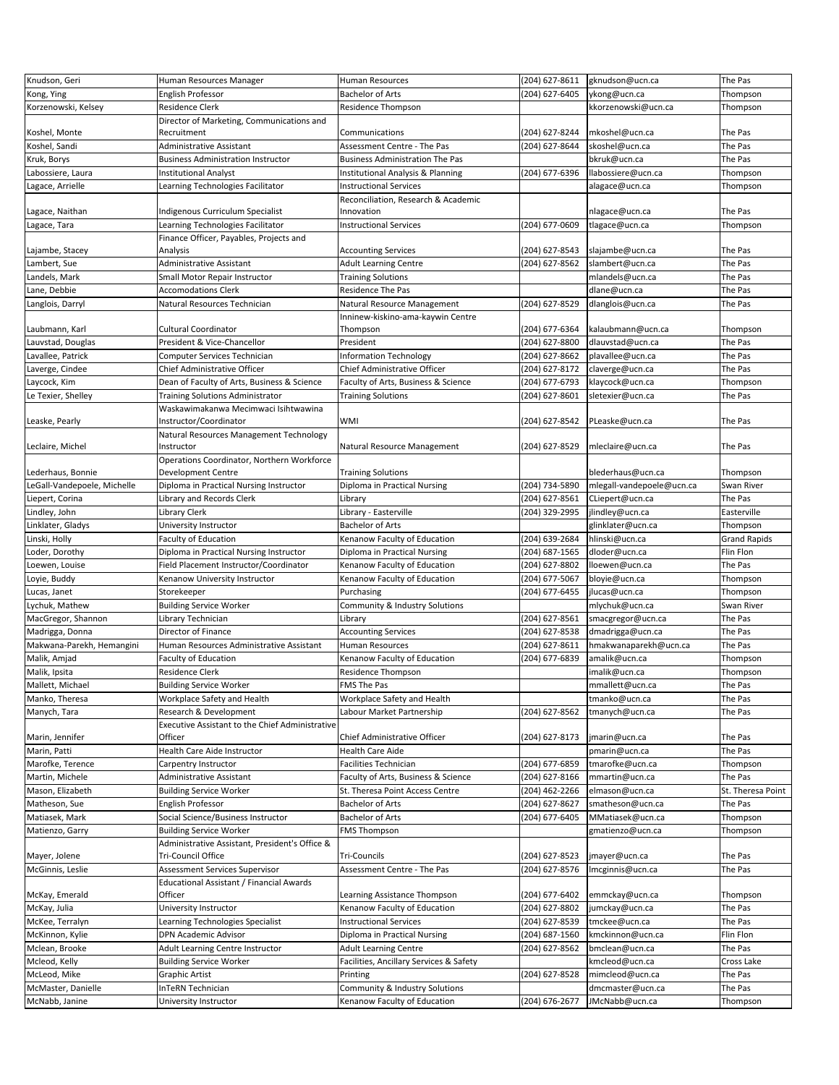| Knudson, Geri               | Human Resources Manager                                                    | Human Resources                         | (204) 627-8611 | gknudson@ucn.ca           | The Pas             |
|-----------------------------|----------------------------------------------------------------------------|-----------------------------------------|----------------|---------------------------|---------------------|
| Kong, Ying                  | English Professor                                                          | <b>Bachelor of Arts</b>                 | (204) 627-6405 | ykong@ucn.ca              | Thompson            |
| Korzenowski, Kelsey         | Residence Clerk                                                            | Residence Thompson                      |                | kkorzenowski@ucn.ca       | Thompson            |
| Koshel, Monte               | Director of Marketing, Communications and<br>Recruitment                   | Communications                          | (204) 627-8244 | mkoshel@ucn.ca            | The Pas             |
| Koshel, Sandi               | Administrative Assistant                                                   | Assessment Centre - The Pas             | (204) 627-8644 | skoshel@ucn.ca            | The Pas             |
| Kruk, Borys                 | <b>Business Administration Instructor</b>                                  | <b>Business Administration The Pas</b>  |                | bkruk@ucn.ca              | The Pas             |
| Labossiere, Laura           | <b>Institutional Analyst</b>                                               | Institutional Analysis & Planning       | (204) 677-6396 | llabossiere@ucn.ca        | Thompson            |
| Lagace, Arrielle            | Learning Technologies Facilitator                                          | <b>Instructional Services</b>           |                | alagace@ucn.ca            | Thompson            |
|                             |                                                                            | Reconciliation, Research & Academic     |                |                           |                     |
| Lagace, Naithan             | Indigenous Curriculum Specialist                                           | Innovation                              |                | nlagace@ucn.ca            | The Pas             |
| Lagace, Tara                | Learning Technologies Facilitator                                          | <b>Instructional Services</b>           | (204) 677-0609 | tlagace@ucn.ca            | Thompson            |
| Lajambe, Stacey             | Finance Officer, Payables, Projects and<br>Analysis                        | <b>Accounting Services</b>              | (204) 627-8543 | slajambe@ucn.ca           | The Pas             |
| Lambert, Sue                | Administrative Assistant                                                   | Adult Learning Centre                   | (204) 627-8562 | slambert@ucn.ca           | The Pas             |
| Landels, Mark               | Small Motor Repair Instructor                                              | Training Solutions                      |                | mlandels@ucn.ca           | The Pas             |
| Lane, Debbie                | <b>Accomodations Clerk</b>                                                 | Residence The Pas                       |                | dlane@ucn.ca              | The Pas             |
| Langlois, Darryl            | Natural Resources Technician                                               | Natural Resource Management             | (204) 627-8529 | dlanglois@ucn.ca          | The Pas             |
|                             |                                                                            | Inninew-kiskino-ama-kaywin Centre       |                |                           |                     |
| Laubmann, Karl              | Cultural Coordinator                                                       | Thompson                                | (204) 677-6364 | kalaubmann@ucn.ca         | Thompson            |
| Lauvstad, Douglas           | President & Vice-Chancellor                                                | President                               | (204) 627-8800 | dlauvstad@ucn.ca          | The Pas             |
| Lavallee, Patrick           | Computer Services Technician                                               | Information Technology                  | (204) 627-8662 | plavallee@ucn.ca          | The Pas             |
| Laverge, Cindee             | Chief Administrative Officer                                               | Chief Administrative Officer            | (204) 627-8172 | claverge@ucn.ca           | The Pas             |
| Laycock, Kim                | Dean of Faculty of Arts, Business & Science                                | Faculty of Arts, Business & Science     | (204) 677-6793 | klaycock@ucn.ca           | Thompson            |
| Le Texier, Shelley          | Training Solutions Administrator                                           | <b>Training Solutions</b>               | (204) 627-8601 | sletexier@ucn.ca          | The Pas             |
|                             | Waskawimakanwa Mecimwaci Isihtwawina                                       |                                         |                |                           |                     |
| Leaske, Pearly              | Instructor/Coordinator<br>Natural Resources Management Technology          | WMI                                     | (204) 627-8542 | PLeaske@ucn.ca            | The Pas             |
| Leclaire, Michel            | Instructor<br>Operations Coordinator, Northern Workforce                   | Natural Resource Management             | (204) 627-8529 | mleclaire@ucn.ca          | The Pas             |
| Lederhaus, Bonnie           | Development Centre                                                         | <b>Training Solutions</b>               |                | blederhaus@ucn.ca         | Thompson            |
| LeGall-Vandepoele, Michelle | Diploma in Practical Nursing Instructor                                    | Diploma in Practical Nursing            | (204) 734-5890 | mlegall-vandepoele@ucn.ca | Swan River          |
| Liepert, Corina             | Library and Records Clerk                                                  | Library                                 | (204) 627-8561 | CLiepert@ucn.ca           | The Pas             |
| Lindley, John               | Library Clerk                                                              | Library - Easterville                   | (204) 329-2995 | jlindley@ucn.ca           | Easterville         |
| Linklater, Gladys           | University Instructor                                                      | <b>Bachelor of Arts</b>                 |                | glinklater@ucn.ca         | Thompson            |
| Linski, Holly               | <b>Faculty of Education</b>                                                | Kenanow Faculty of Education            | (204) 639-2684 | hlinski@ucn.ca            | <b>Grand Rapids</b> |
| Loder, Dorothy              | Diploma in Practical Nursing Instructor                                    | Diploma in Practical Nursing            | (204) 687-1565 | dloder@ucn.ca             | Flin Flon           |
| Loewen, Louise              | Field Placement Instructor/Coordinator                                     | Kenanow Faculty of Education            | (204) 627-8802 | lloewen@ucn.ca            | The Pas             |
| Loyie, Buddy                | Kenanow University Instructor                                              | Kenanow Faculty of Education            | (204) 677-5067 | bloyie@ucn.ca             | Thompson            |
| Lucas, Janet                | Storekeeper                                                                | Purchasing                              | (204) 677-6455 | jlucas@ucn.ca             | Thompson            |
| Lychuk, Mathew              | <b>Building Service Worker</b>                                             | Community & Industry Solutions          |                | mlychuk@ucn.ca            | Swan River          |
| MacGregor, Shannon          | Library Technician                                                         | Library                                 | (204) 627-8561 | smacgregor@ucn.ca         | The Pas             |
|                             | Director of Finance                                                        |                                         | (204) 627-8538 |                           | The Pas             |
| Madrigga, Donna             | Human Resources Administrative Assistant                                   | <b>Accounting Services</b>              |                | dmadrigga@ucn.ca          |                     |
| Makwana-Parekh, Hemangini   |                                                                            | <b>Human Resources</b>                  | (204) 627-8611 | hmakwanaparekh@ucn.ca     | The Pas             |
| Malik, Amjad                | Faculty of Education                                                       | Kenanow Faculty of Education            | (204) 677-6839 | amalik@ucn.ca             | Thompson            |
| Malik, Ipsita               | Residence Clerk                                                            | Residence Thompson                      |                | imalik@ucn.ca             | Thompson            |
| Mallett, Michael            | <b>Building Service Worker</b>                                             | FMS The Pas                             |                | mmallett@ucn.ca           | The Pas             |
| Manko, Theresa              | Workplace Safety and Health                                                | Workplace Safety and Health             |                | tmanko@ucn.ca             | The Pas             |
| Manych, Tara                | Research & Development<br>Executive Assistant to the Chief Administrative  | Labour Market Partnership               | (204) 627-8562 | tmanych@ucn.ca            | The Pas             |
| Marin, Jennifer             | Officer                                                                    | Chief Administrative Officer            | (204) 627-8173 | jmarin@ucn.ca             | The Pas             |
| Marin, Patti                | Health Care Aide Instructor                                                | <b>Health Care Aide</b>                 |                | pmarin@ucn.ca             | The Pas             |
| Marofke, Terence            | Carpentry Instructor                                                       | Facilities Technician                   | (204) 677-6859 | tmarofke@ucn.ca           | Thompson            |
| Martin, Michele             | Administrative Assistant                                                   | Faculty of Arts, Business & Science     | (204) 627-8166 | mmartin@ucn.ca            | The Pas             |
| Mason, Elizabeth            | <b>Building Service Worker</b>                                             | St. Theresa Point Access Centre         | (204) 462-2266 | elmason@ucn.ca            | St. Theresa Point   |
| Matheson, Sue               | English Professor                                                          | Bachelor of Arts                        | (204) 627-8627 | smatheson@ucn.ca          | The Pas             |
| Matiasek, Mark              | Social Science/Business Instructor                                         | Bachelor of Arts                        | (204) 677-6405 | MMatiasek@ucn.ca          | Thompson            |
| Matienzo, Garry             | <b>Building Service Worker</b>                                             | FMS Thompson                            |                | gmatienzo@ucn.ca          | Thompson            |
|                             | Administrative Assistant, President's Office &                             |                                         |                |                           |                     |
| Mayer, Jolene               | Tri-Council Office                                                         | Tri-Councils                            | (204) 627-8523 | jmayer@ucn.ca             | The Pas             |
| McGinnis, Leslie            | Assessment Services Supervisor<br>Educational Assistant / Financial Awards | Assessment Centre - The Pas             | (204) 627-8576 | Imcginnis@ucn.ca          | The Pas             |
| McKay, Emerald              | Officer                                                                    | Learning Assistance Thompson            | (204) 677-6402 | emmckay@ucn.ca            | Thompson            |
| McKay, Julia                | University Instructor                                                      | Kenanow Faculty of Education            | (204) 627-8802 | jumckay@ucn.ca            | The Pas             |
| McKee, Terralyn             | Learning Technologies Specialist                                           | <b>Instructional Services</b>           | (204) 627-8539 | tmckee@ucn.ca             | The Pas             |
| McKinnon, Kylie             | DPN Academic Advisor                                                       | Diploma in Practical Nursing            | (204) 687-1560 | kmckinnon@ucn.ca          | Flin Flon           |
| Mclean, Brooke              | Adult Learning Centre Instructor                                           | <b>Adult Learning Centre</b>            | (204) 627-8562 | bmclean@ucn.ca            | The Pas             |
| Mcleod, Kelly               | <b>Building Service Worker</b>                                             | Facilities, Ancillary Services & Safety |                | kmcleod@ucn.ca            | Cross Lake          |
| McLeod, Mike                | Graphic Artist                                                             | Printing                                | (204) 627-8528 | mimcleod@ucn.ca           | The Pas             |
| McMaster, Danielle          | InTeRN Technician                                                          | Community & Industry Solutions          |                | dmcmaster@ucn.ca          | The Pas             |
| McNabb, Janine              | University Instructor                                                      | Kenanow Faculty of Education            | (204) 676-2677 | JMcNabb@ucn.ca            | Thompson            |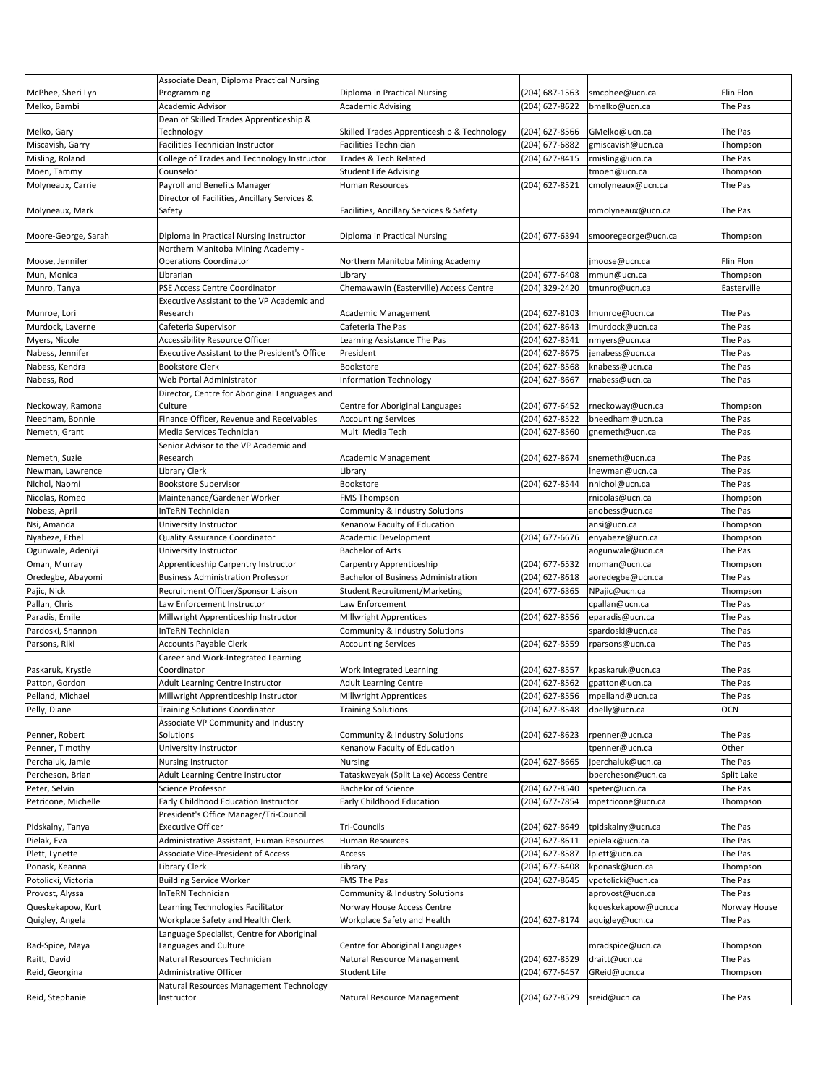|                     | Associate Dean, Diploma Practical Nursing            |                                            |                |                     |                  |
|---------------------|------------------------------------------------------|--------------------------------------------|----------------|---------------------|------------------|
| McPhee, Sheri Lyn   | Programming                                          | Diploma in Practical Nursing               | (204) 687-1563 | smcphee@ucn.ca      | <b>Flin Flon</b> |
| Melko, Bambi        | Academic Advisor                                     | <b>Academic Advising</b>                   | (204) 627-8622 | bmelko@ucn.ca       | The Pas          |
|                     | Dean of Skilled Trades Apprenticeship &              |                                            |                |                     |                  |
| Melko, Gary         | Technology                                           | Skilled Trades Apprenticeship & Technology | (204) 627-8566 | GMelko@ucn.ca       | The Pas          |
| Miscavish, Garry    | Facilities Technician Instructor                     | <b>Facilities Technician</b>               | (204) 677-6882 | gmiscavish@ucn.ca   | Thompson         |
| Misling, Roland     | College of Trades and Technology Instructor          | Trades & Tech Related                      | (204) 627-8415 | rmisling@ucn.ca     | The Pas          |
| Moen, Tammy         | Counselor                                            | <b>Student Life Advising</b>               |                | tmoen@ucn.ca        | Thompson         |
| Molyneaux, Carrie   | Payroll and Benefits Manager                         | Human Resources                            | (204) 627-8521 | cmolyneaux@ucn.ca   | The Pas          |
|                     | Director of Facilities, Ancillary Services &         |                                            |                |                     |                  |
| Molyneaux, Mark     | Safety                                               | Facilities, Ancillary Services & Safety    |                | mmolyneaux@ucn.ca   | The Pas          |
| Moore-George, Sarah | Diploma in Practical Nursing Instructor              | Diploma in Practical Nursing               | (204) 677-6394 |                     | Thompson         |
|                     | Northern Manitoba Mining Academy -                   |                                            |                | smooregeorge@ucn.ca |                  |
| Moose, Jennifer     | <b>Operations Coordinator</b>                        | Northern Manitoba Mining Academy           |                | jmoose@ucn.ca       | Flin Flon        |
| Mun, Monica         | Librarian                                            | Library                                    | (204) 677-6408 | mmun@ucn.ca         | Thompson         |
| Munro, Tanya        | PSE Access Centre Coordinator                        | Chemawawin (Easterville) Access Centre     | (204) 329-2420 | tmunro@ucn.ca       | Easterville      |
|                     | Executive Assistant to the VP Academic and           |                                            |                |                     |                  |
| Munroe, Lori        | Research                                             | Academic Management                        | (204) 627-8103 | Imunroe@ucn.ca      | The Pas          |
| Murdock, Laverne    | Cafeteria Supervisor                                 | Cafeteria The Pas                          | (204) 627-8643 | Imurdock@ucn.ca     | The Pas          |
| Myers, Nicole       | <b>Accessibility Resource Officer</b>                | Learning Assistance The Pas                | (204) 627-8541 | nmyers@ucn.ca       | The Pas          |
| Nabess, Jennifer    | <b>Executive Assistant to the President's Office</b> | President                                  | (204) 627-8675 | jenabess@ucn.ca     | The Pas          |
| Nabess, Kendra      | <b>Bookstore Clerk</b>                               | Bookstore                                  | (204) 627-8568 | knabess@ucn.ca      | The Pas          |
| Nabess, Rod         | Web Portal Administrator                             | <b>Information Technology</b>              | (204) 627-8667 | rnabess@ucn.ca      | The Pas          |
|                     | Director, Centre for Aboriginal Languages and        |                                            |                |                     |                  |
| Neckoway, Ramona    | Culture                                              | Centre for Aboriginal Languages            | (204) 677-6452 | rneckoway@ucn.ca    | Thompson         |
| Needham, Bonnie     | Finance Officer, Revenue and Receivables             | <b>Accounting Services</b>                 | (204) 627-8522 | bneedham@ucn.ca     | The Pas          |
| Nemeth, Grant       | Media Services Technician                            | Multi Media Tech                           | (204) 627-8560 | gnemeth@ucn.ca      | The Pas          |
|                     | Senior Advisor to the VP Academic and                |                                            |                |                     |                  |
| Nemeth, Suzie       | Research                                             | Academic Management                        | (204) 627-8674 | snemeth@ucn.ca      | The Pas          |
| Newman, Lawrence    | Library Clerk                                        | Library                                    |                | Inewman@ucn.ca      | The Pas          |
| Nichol, Naomi       | <b>Bookstore Supervisor</b>                          | Bookstore                                  | (204) 627-8544 | nnichol@ucn.ca      | The Pas          |
| Nicolas, Romeo      | Maintenance/Gardener Worker                          | <b>FMS Thompson</b>                        |                | rnicolas@ucn.ca     | Thompson         |
| Nobess, April       | InTeRN Technician                                    | Community & Industry Solutions             |                | anobess@ucn.ca      | The Pas          |
| Nsi, Amanda         | University Instructor                                | Kenanow Faculty of Education               |                | ansi@ucn.ca         | Thompson         |
| Nyabeze, Ethel      | Quality Assurance Coordinator                        | Academic Development                       | (204) 677-6676 | enyabeze@ucn.ca     | Thompson         |
| Ogunwale, Adeniyi   | University Instructor                                | <b>Bachelor of Arts</b>                    |                | aogunwale@ucn.ca    | The Pas          |
| Oman, Murray        | Apprenticeship Carpentry Instructor                  | Carpentry Apprenticeship                   | (204) 677-6532 | moman@ucn.ca        | Thompson         |
| Oredegbe, Abayomi   | <b>Business Administration Professor</b>             | <b>Bachelor of Business Administration</b> | (204) 627-8618 | aoredegbe@ucn.ca    | The Pas          |
| Pajic, Nick         | Recruitment Officer/Sponsor Liaison                  | <b>Student Recruitment/Marketing</b>       | (204) 677-6365 | NPajic@ucn.ca       | Thompson         |
| Pallan, Chris       | Law Enforcement Instructor                           | Law Enforcement                            |                | cpallan@ucn.ca      | The Pas          |
| Paradis, Emile      | Millwright Apprenticeship Instructor                 | <b>Millwright Apprentices</b>              | (204) 627-8556 | eparadis@ucn.ca     | The Pas          |
| Pardoski, Shannon   | InTeRN Technician                                    | Community & Industry Solutions             |                | spardoski@ucn.ca    | The Pas          |
| Parsons, Riki       | <b>Accounts Payable Clerk</b>                        | <b>Accounting Services</b>                 | (204) 627-8559 | rparsons@ucn.ca     | The Pas          |
|                     | Career and Work-Integrated Learning                  |                                            |                |                     |                  |
| Paskaruk, Krystle   | Coordinator                                          | Work Integrated Learning                   | (204) 627-8557 | kpaskaruk@ucn.ca    | The Pas          |
| Patton, Gordon      | Adult Learning Centre Instructor                     | <b>Adult Learning Centre</b>               | (204) 627-8562 | gpatton@ucn.ca      | The Pas          |
| Pelland, Michael    | Millwright Apprenticeship Instructor                 | Millwright Apprentices                     | (204) 627-8556 | mpelland@ucn.ca     | The Pas          |
| Pelly, Diane        | <b>Training Solutions Coordinator</b>                | <b>Training Solutions</b>                  | (204) 627-8548 | dpelly@ucn.ca       | OCN              |
|                     | Associate VP Community and Industry                  |                                            |                |                     |                  |
| Penner, Robert      | Solutions                                            | Community & Industry Solutions             | (204) 627-8623 | rpenner@ucn.ca      | The Pas          |
| Penner, Timothy     | University Instructor                                | Kenanow Faculty of Education               |                | tpenner@ucn.ca      | Other            |
| Perchaluk, Jamie    | Nursing Instructor                                   | Nursing                                    | (204) 627-8665 | jperchaluk@ucn.ca   | The Pas          |
| Percheson, Brian    | Adult Learning Centre Instructor                     | Tataskweyak (Split Lake) Access Centre     |                | bpercheson@ucn.ca   | Split Lake       |
| Peter, Selvin       | Science Professor                                    | Bachelor of Science                        | (204) 627-8540 | speter@ucn.ca       | The Pas          |
| Petricone, Michelle | Early Childhood Education Instructor                 | Early Childhood Education                  | (204) 677-7854 | mpetricone@ucn.ca   | Thompson         |
|                     | President's Office Manager/Tri-Council               |                                            |                |                     |                  |
| Pidskalny, Tanya    | <b>Executive Officer</b>                             | Tri-Councils                               | (204) 627-8649 | tpidskalny@ucn.ca   | The Pas          |
| Pielak, Eva         | Administrative Assistant, Human Resources            | Human Resources                            | (204) 627-8611 | epielak@ucn.ca      | The Pas          |
| Plett, Lynette      | Associate Vice-President of Access                   | Access                                     | (204) 627-8587 | lplett@ucn.ca       | The Pas          |
| Ponask, Keanna      | ibrary Clerk.                                        | Library                                    | (204) 677-6408 | kponask@ucn.ca      | Thompson         |
| Potolicki, Victoria | <b>Building Service Worker</b>                       | FMS The Pas                                | (204) 627-8645 | vpotolicki@ucn.ca   | The Pas          |
| Provost, Alyssa     | InTeRN Technician                                    | Community & Industry Solutions             |                | aprovost@ucn.ca     | The Pas          |
| Queskekapow, Kurt   | Learning Technologies Facilitator                    | Norway House Access Centre                 |                | kqueskekapow@ucn.ca | Norway House     |
| Quigley, Angela     | Workplace Safety and Health Clerk                    | Workplace Safety and Health                | (204) 627-8174 | aquigley@ucn.ca     | The Pas          |
|                     | Language Specialist, Centre for Aboriginal           |                                            |                |                     |                  |
| Rad-Spice, Maya     | Languages and Culture                                | Centre for Aboriginal Languages            |                | mradspice@ucn.ca    | Thompson         |
| Raitt, David        | Natural Resources Technician                         | Natural Resource Management                | (204) 627-8529 | draitt@ucn.ca       | The Pas          |
| Reid, Georgina      | Administrative Officer                               | Student Life                               | (204) 677-6457 | GReid@ucn.ca        | Thompson         |
|                     | Natural Resources Management Technology              |                                            |                |                     |                  |
| Reid, Stephanie     | Instructor                                           | Natural Resource Management                | (204) 627-8529 | sreid@ucn.ca        | The Pas          |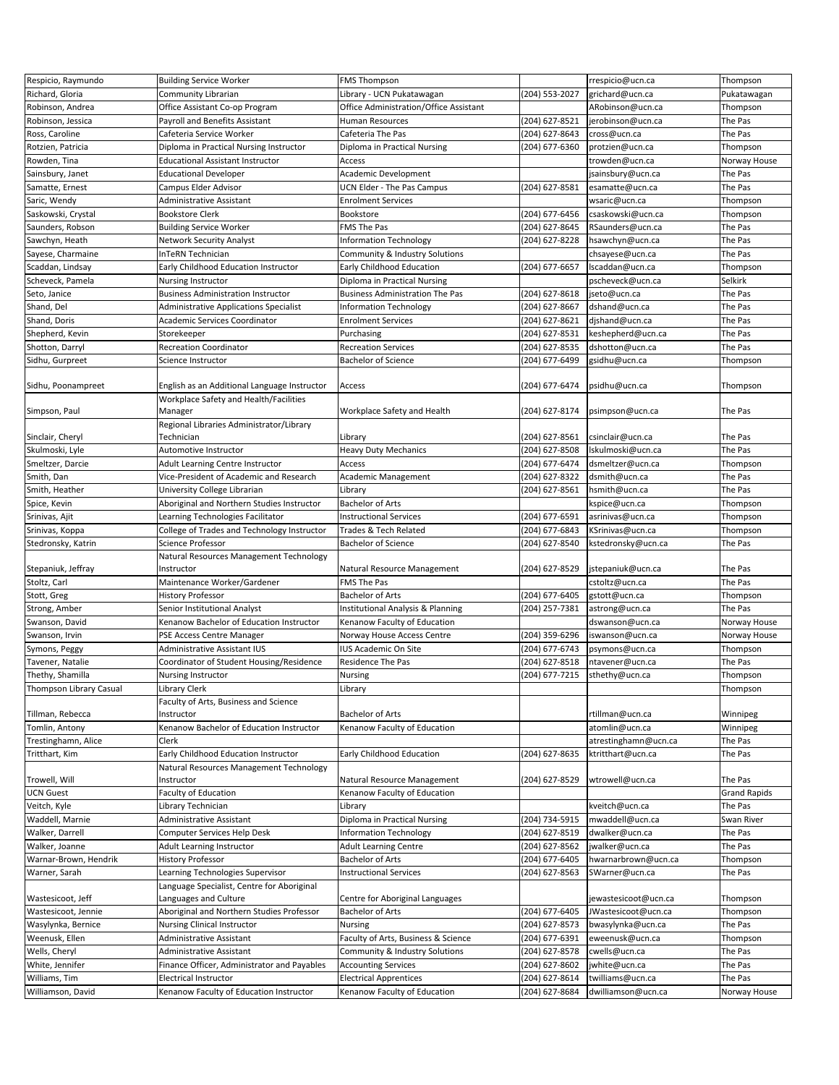| Respicio, Raymundo                 | <b>Building Service Worker</b>                                          | <b>FMS Thompson</b>                                           |                                  | rrespicio@ucn.ca                       | Thompson                |
|------------------------------------|-------------------------------------------------------------------------|---------------------------------------------------------------|----------------------------------|----------------------------------------|-------------------------|
| Richard, Gloria                    | Community Librarian                                                     | Library - UCN Pukatawagan                                     | (204) 553-2027                   | grichard@ucn.ca                        | Pukatawagan             |
| Robinson, Andrea                   | Office Assistant Co-op Program                                          | Office Administration/Office Assistant                        |                                  | ARobinson@ucn.ca                       | Thompson                |
| Robinson, Jessica                  | Payroll and Benefits Assistant                                          | Human Resources                                               | (204) 627-8521                   | jerobinson@ucn.ca                      | The Pas                 |
| Ross, Caroline                     | Cafeteria Service Worker                                                | Cafeteria The Pas                                             | (204) 627-8643                   | cross@ucn.ca                           | The Pas                 |
|                                    |                                                                         |                                                               |                                  |                                        |                         |
| Rotzien, Patricia                  | Diploma in Practical Nursing Instructor                                 | Diploma in Practical Nursing                                  | (204) 677-6360                   | protzien@ucn.ca                        | Thompson                |
| Rowden, Tina                       | <b>Educational Assistant Instructor</b>                                 | Access                                                        |                                  | trowden@ucn.ca                         | Norway House            |
| Sainsbury, Janet                   | <b>Educational Developer</b>                                            | Academic Development                                          |                                  | jsainsbury@ucn.ca                      | The Pas                 |
| Samatte, Ernest                    | Campus Elder Advisor                                                    | UCN Elder - The Pas Campus                                    | (204) 627-8581                   | esamatte@ucn.ca                        | The Pas                 |
| Saric, Wendy                       | Administrative Assistant                                                | <b>Enrolment Services</b>                                     |                                  | wsaric@ucn.ca                          | Thompson                |
| Saskowski, Crystal                 | <b>Bookstore Clerk</b>                                                  | Bookstore                                                     | (204) 677-6456                   | csaskowski@ucn.ca                      | Thompson                |
| Saunders, Robson                   | <b>Building Service Worker</b>                                          | <b>FMS The Pas</b>                                            | (204) 627-8645                   | RSaunders@ucn.ca                       | The Pas                 |
| Sawchyn, Heath                     | <b>Network Security Analyst</b>                                         | <b>Information Technology</b>                                 | (204) 627-8228                   | hsawchyn@ucn.ca                        | The Pas                 |
| Sayese, Charmaine                  | InTeRN Technician                                                       | Community & Industry Solutions                                |                                  | chsayese@ucn.ca                        | The Pas                 |
| Scaddan, Lindsay                   | Early Childhood Education Instructor                                    | Early Childhood Education                                     | (204) 677-6657                   | Iscaddan@ucn.ca                        | Thompson                |
| Scheveck, Pamela                   | <b>Nursing Instructor</b>                                               | Diploma in Practical Nursing                                  |                                  | pscheveck@ucn.ca                       | Selkirk                 |
|                                    |                                                                         |                                                               |                                  |                                        | The Pas                 |
| Seto, Janice                       | <b>Business Administration Instructor</b>                               | <b>Business Administration The Pas</b>                        | (204) 627-8618                   | jseto@ucn.ca                           |                         |
| Shand, Del                         | <b>Administrative Applications Specialist</b>                           | <b>Information Technology</b>                                 | (204) 627-8667                   | dshand@ucn.ca                          | The Pas                 |
| Shand, Doris                       | Academic Services Coordinator                                           | <b>Enrolment Services</b>                                     | (204) 627-8621                   | djshand@ucn.ca                         | The Pas                 |
| Shepherd, Kevin                    | Storekeeper                                                             | Purchasing                                                    | (204) 627-8531                   | keshepherd@ucn.ca                      | The Pas                 |
| Shotton, Darryl                    | <b>Recreation Coordinator</b>                                           | <b>Recreation Services</b>                                    | (204) 627-8535                   | dshotton@ucn.ca                        | The Pas                 |
| Sidhu, Gurpreet                    | Science Instructor                                                      | <b>Bachelor of Science</b>                                    | (204) 677-6499                   | gsidhu@ucn.ca                          | Thompson                |
|                                    |                                                                         |                                                               |                                  |                                        |                         |
| Sidhu, Poonampreet                 | English as an Additional Language Instructor                            | Access                                                        | (204) 677-6474                   | psidhu@ucn.ca                          | Thompson                |
|                                    | Workplace Safety and Health/Facilities                                  |                                                               |                                  |                                        |                         |
| Simpson, Paul                      | Manager                                                                 | Workplace Safety and Health                                   | (204) 627-8174                   | psimpson@ucn.ca                        | The Pas                 |
|                                    | Regional Libraries Administrator/Library                                |                                                               |                                  |                                        |                         |
| Sinclair, Cheryl                   | Technician                                                              | Library                                                       | (204) 627-8561                   | csinclair@ucn.ca                       | The Pas                 |
| Skulmoski, Lyle                    | Automotive Instructor                                                   | <b>Heavy Duty Mechanics</b>                                   | (204) 627-8508                   | Iskulmoski@ucn.ca                      | The Pas                 |
|                                    | Adult Learning Centre Instructor                                        | Access                                                        | (204) 677-6474                   |                                        |                         |
| Smeltzer, Darcie                   |                                                                         |                                                               |                                  | dsmeltzer@ucn.ca                       | Thompson                |
| Smith, Dan                         | Vice-President of Academic and Research                                 | <b>Academic Management</b>                                    | (204) 627-8322                   | dsmith@ucn.ca                          | The Pas                 |
| Smith, Heather                     | University College Librarian                                            | Library                                                       | (204) 627-8561                   | hsmith@ucn.ca                          | The Pas                 |
| Spice, Kevin                       | Aboriginal and Northern Studies Instructor                              | <b>Bachelor of Arts</b>                                       |                                  | kspice@ucn.ca                          | Thompson                |
| Srinivas, Ajit                     | Learning Technologies Facilitator                                       | <b>Instructional Services</b>                                 | (204) 677-6591                   | asrinivas@ucn.ca                       | Thompson                |
| Srinivas, Koppa                    | College of Trades and Technology Instructor                             | Trades & Tech Related                                         | (204) 677-6843                   | KSrinivas@ucn.ca                       | Thompson                |
| Stedronsky, Katrin                 | Science Professor                                                       | <b>Bachelor of Science</b>                                    | (204) 627-8540                   | kstedronsky@ucn.ca                     | The Pas                 |
|                                    | Natural Resources Management Technology                                 |                                                               |                                  |                                        |                         |
| Stepaniuk, Jeffray                 | Instructor                                                              | Natural Resource Management                                   | (204) 627-8529                   | jstepaniuk@ucn.ca                      | The Pas                 |
| Stoltz, Carl                       | Maintenance Worker/Gardener                                             | <b>FMS The Pas</b>                                            |                                  | cstoltz@ucn.ca                         | The Pas                 |
| Stott, Greg                        | <b>History Professor</b>                                                | Bachelor of Arts                                              | (204) 677-6405                   | gstott@ucn.ca                          | Thompson                |
|                                    |                                                                         |                                                               |                                  |                                        | The Pas                 |
|                                    |                                                                         |                                                               |                                  |                                        |                         |
| Strong, Amber                      | Senior Institutional Analyst                                            | Institutional Analysis & Planning                             | (204) 257-7381                   | astrong@ucn.ca                         |                         |
| Swanson, David                     | Kenanow Bachelor of Education Instructor                                | Kenanow Faculty of Education                                  |                                  | dswanson@ucn.ca                        | Norway House            |
| Swanson, Irvin                     | PSE Access Centre Manager                                               | Norway House Access Centre                                    | (204) 359-6296                   | iswanson@ucn.ca                        | Norway House            |
| Symons, Peggy                      | Administrative Assistant IUS                                            | IUS Academic On Site                                          | (204) 677-6743                   | psymons@ucn.ca                         | Thompson                |
| Tavener, Natalie                   | Coordinator of Student Housing/Residence                                | Residence The Pas                                             | (204) 627-8518                   | ntavener@ucn.ca                        | The Pas                 |
| Thethy, Shamilla                   | Nursing Instructor                                                      | Nursing                                                       | (204) 677-7215                   | sthethy@ucn.ca                         | Thompson                |
| Thompson Library Casual            | Library Clerk                                                           | Library                                                       |                                  |                                        |                         |
|                                    | Faculty of Arts, Business and Science                                   |                                                               |                                  |                                        | Thompson                |
| Tillman, Rebecca                   | Instructor                                                              | <b>Bachelor of Arts</b>                                       |                                  | rtillman@ucn.ca                        | Winnipeg                |
| Tomlin, Antony                     | Kenanow Bachelor of Education Instructor                                | Kenanow Faculty of Education                                  |                                  | atomlin@ucn.ca                         | Winnipeg                |
| Trestinghamn, Alice                | Clerk                                                                   |                                                               |                                  | atrestinghamn@ucn.ca                   | The Pas                 |
|                                    |                                                                         |                                                               |                                  |                                        |                         |
| Tritthart, Kim                     | Early Childhood Education Instructor                                    | Early Childhood Education                                     | (204) 627-8635                   | ktritthart@ucn.ca                      | The Pas                 |
|                                    | Natural Resources Management Technology                                 |                                                               |                                  |                                        |                         |
| Trowell, Will                      | Instructor                                                              | Natural Resource Management                                   | (204) 627-8529                   | wtrowell@ucn.ca                        | The Pas                 |
| <b>UCN Guest</b>                   | Faculty of Education                                                    | Kenanow Faculty of Education                                  |                                  |                                        | <b>Grand Rapids</b>     |
| Veitch, Kyle                       | ibrary Technician                                                       | Library                                                       |                                  | kveitch@ucn.ca                         | The Pas                 |
| Waddell, Marnie                    | Administrative Assistant                                                | Diploma in Practical Nursing                                  | (204) 734-5915                   | mwaddell@ucn.ca                        | Swan River              |
| Walker, Darrell                    | Computer Services Help Desk                                             | <b>Information Technology</b>                                 | (204) 627-8519                   | dwalker@ucn.ca                         | The Pas                 |
| Walker, Joanne                     | Adult Learning Instructor                                               | <b>Adult Learning Centre</b>                                  | (204) 627-8562                   | jwalker@ucn.ca                         | The Pas                 |
| Warnar-Brown, Hendrik              | <b>History Professor</b>                                                | <b>Bachelor of Arts</b>                                       | (204) 677-6405                   | hwarnarbrown@ucn.ca                    | Thompson                |
| Warner, Sarah                      | Learning Technologies Supervisor                                        | <b>Instructional Services</b>                                 | (204) 627-8563                   | SWarner@ucn.ca                         | The Pas                 |
|                                    | Language Specialist, Centre for Aboriginal                              |                                                               |                                  |                                        |                         |
| Wastesicoot, Jeff                  | Languages and Culture                                                   | Centre for Aboriginal Languages                               |                                  | jewastesicoot@ucn.ca                   | Thompson                |
| Wastesicoot, Jennie                | Aboriginal and Northern Studies Professor                               | Bachelor of Arts                                              | (204) 677-6405                   | JWastesicoot@ucn.ca                    | Thompson                |
|                                    |                                                                         |                                                               |                                  |                                        |                         |
| Wasylynka, Bernice                 | <b>Nursing Clinical Instructor</b>                                      | Nursing                                                       | (204) 627-8573                   | bwasylynka@ucn.ca                      | The Pas                 |
| Weenusk, Ellen                     | Administrative Assistant                                                | Faculty of Arts, Business & Science                           | (204) 677-6391                   | eweenusk@ucn.ca                        | Thompson                |
| Wells, Cheryl                      | Administrative Assistant                                                | Community & Industry Solutions                                | (204) 627-8578                   | cwells@ucn.ca                          | The Pas                 |
| White, Jennifer                    | Finance Officer, Administrator and Payables                             | <b>Accounting Services</b>                                    | (204) 627-8602                   | jwhite@ucn.ca                          | The Pas                 |
| Williams, Tim<br>Williamson, David | <b>Electrical Instructor</b><br>Kenanow Faculty of Education Instructor | <b>Electrical Apprentices</b><br>Kenanow Faculty of Education | (204) 627-8614<br>(204) 627-8684 | twilliams@ucn.ca<br>dwilliamson@ucn.ca | The Pas<br>Norway House |